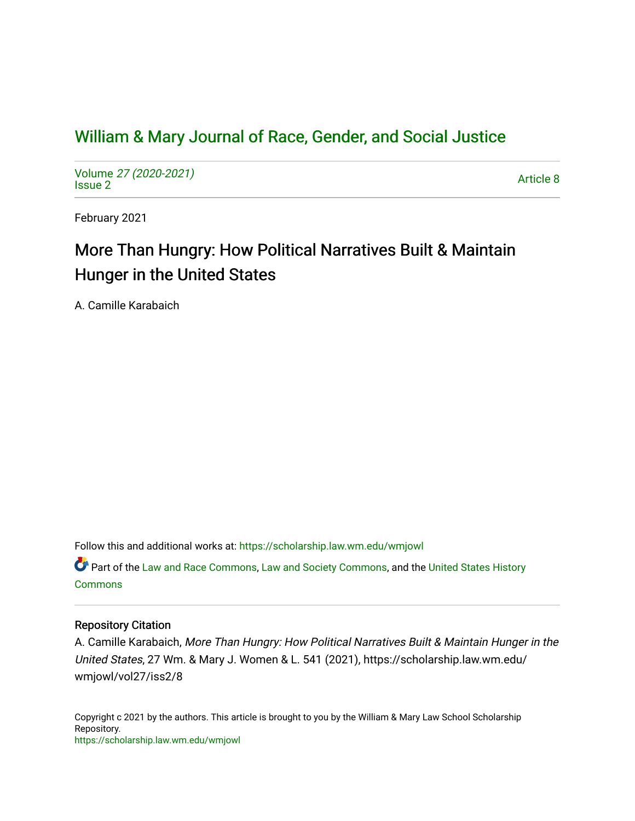## [William & Mary Journal of Race, Gender, and Social Justice](https://scholarship.law.wm.edu/wmjowl)

Volume [27 \(2020-2021\)](https://scholarship.law.wm.edu/wmjowl/vol27)  volume 27 (2020-2021)<br>[Issue 2](https://scholarship.law.wm.edu/wmjowl/vol27/iss2) Article 8

February 2021

# More Than Hungry: How Political Narratives Built & Maintain Hunger in the United States

A. Camille Karabaich

Follow this and additional works at: [https://scholarship.law.wm.edu/wmjowl](https://scholarship.law.wm.edu/wmjowl?utm_source=scholarship.law.wm.edu%2Fwmjowl%2Fvol27%2Fiss2%2F8&utm_medium=PDF&utm_campaign=PDFCoverPages) 

Part of the [Law and Race Commons,](http://network.bepress.com/hgg/discipline/1300?utm_source=scholarship.law.wm.edu%2Fwmjowl%2Fvol27%2Fiss2%2F8&utm_medium=PDF&utm_campaign=PDFCoverPages) [Law and Society Commons](http://network.bepress.com/hgg/discipline/853?utm_source=scholarship.law.wm.edu%2Fwmjowl%2Fvol27%2Fiss2%2F8&utm_medium=PDF&utm_campaign=PDFCoverPages), and the [United States History](http://network.bepress.com/hgg/discipline/495?utm_source=scholarship.law.wm.edu%2Fwmjowl%2Fvol27%2Fiss2%2F8&utm_medium=PDF&utm_campaign=PDFCoverPages) [Commons](http://network.bepress.com/hgg/discipline/495?utm_source=scholarship.law.wm.edu%2Fwmjowl%2Fvol27%2Fiss2%2F8&utm_medium=PDF&utm_campaign=PDFCoverPages)

## Repository Citation

A. Camille Karabaich, More Than Hungry: How Political Narratives Built & Maintain Hunger in the United States, 27 Wm. & Mary J. Women & L. 541 (2021), https://scholarship.law.wm.edu/ wmjowl/vol27/iss2/8

Copyright c 2021 by the authors. This article is brought to you by the William & Mary Law School Scholarship Repository. <https://scholarship.law.wm.edu/wmjowl>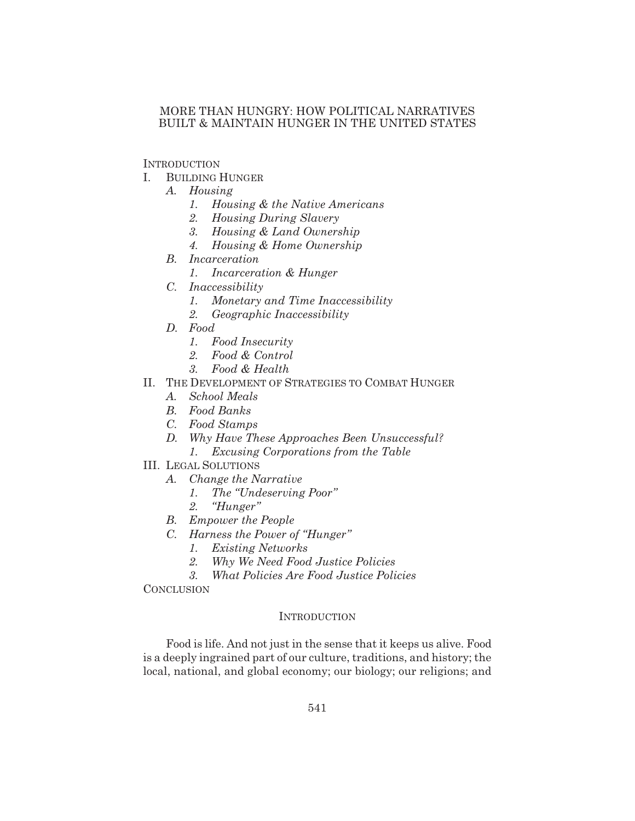## MORE THAN HUNGRY: HOW POLITICAL NARRATIVES BUILT & MAINTAIN HUNGER IN THE UNITED STATES

## **INTRODUCTION**

- I. BUILDING HUNGER
	- *A. Housing*
		- *1. Housing & the Native Americans*
		- *2. Housing During Slavery*
		- *3. Housing & Land Ownership*
		- *4. Housing & Home Ownership*
	- *B. Incarceration*
		- *1. Incarceration & Hunger*
	- *C. Inaccessibility*
		- *1. Monetary and Time Inaccessibility*
		- *2. Geographic Inaccessibility*
	- *D. Food*
		- *1. Food Insecurity*
		- *2. Food & Control*
		- *3. Food & Health*
- II. THE DEVELOPMENT OF STRATEGIES TO COMBAT HUNGER
	- *A. School Meals*
	- *B. Food Banks*
	- *C. Food Stamps*
	- *D. Why Have These Approaches Been Unsuccessful?*
		- *1. Excusing Corporations from the Table*
- III. LEGAL SOLUTIONS
	- *A. Change the Narrative*
		- *1. The "Undeserving Poor"*
			- *2. "Hunger"*
	- *B. Empower the People*
	- *C. Harness the Power of "Hunger"*
		- *1. Existing Networks*
		- *2. Why We Need Food Justice Policies*
		- *3. What Policies Are Food Justice Policies*

**CONCLUSION** 

## **INTRODUCTION**

Food is life. And not just in the sense that it keeps us alive. Food is a deeply ingrained part of our culture, traditions, and history; the local, national, and global economy; our biology; our religions; and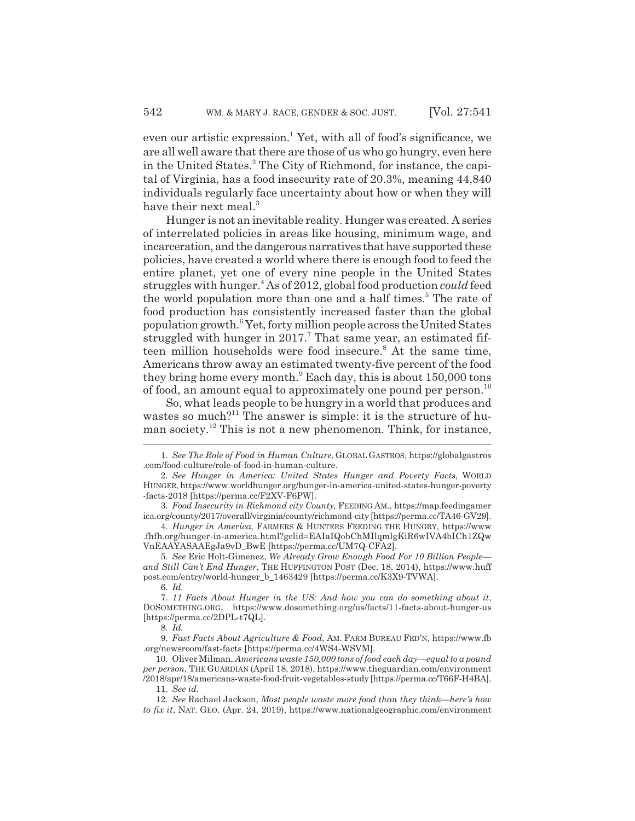even our artistic expression.<sup>1</sup> Yet, with all of food's significance, we are all well aware that there are those of us who go hungry, even here in the United States.<sup>2</sup> The City of Richmond, for instance, the capital of Virginia, has a food insecurity rate of 20.3%, meaning 44,840 individuals regularly face uncertainty about how or when they will have their next meal.<sup>3</sup>

Hunger is not an inevitable reality. Hunger was created. A series of interrelated policies in areas like housing, minimum wage, and incarceration, and the dangerous narratives that have supported these policies, have created a world where there is enough food to feed the entire planet, yet one of every nine people in the United States struggles with hunger.<sup>4</sup> As of 2012, global food production *could* feed the world population more than one and a half times.<sup>5</sup> The rate of food production has consistently increased faster than the global population growth.<sup>6</sup> Yet, forty million people across the United States struggled with hunger in 2017.<sup>7</sup> That same year, an estimated fifteen million households were food insecure.<sup>8</sup> At the same time, Americans throw away an estimated twenty-five percent of the food they bring home every month.<sup>9</sup> Each day, this is about 150,000 tons of food, an amount equal to approximately one pound per person.<sup>10</sup>

So, what leads people to be hungry in a world that produces and wastes so much?<sup>11</sup> The answer is simple: it is the structure of human society.<sup>12</sup> This is not a new phenomenon. Think, for instance,

4. *Hunger in America*, FARMERS & HUNTERS FEEDING THE HUNGRY, https://www .fhfh.org/hunger-in-america.html?gclid=EAIaIQobChMIlqmlgKiR6wIVA4bICh1ZQw VnEAAYASAAEgJa9vD\_BwE [https://perma.cc/UM7Q-CFA2].

5. *See* Eric Holt-Gimenez, *We Already Grow Enough Food For 10 Billion People and Still Can't End Hunger*, THE HUFFINGTON POST (Dec. 18, 2014), https://www.huff post.com/entry/world-hunger\_b\_1463429 [https://perma.cc/K3X9-TVWA].

6. *Id.*

7. *11 Facts About Hunger in the US: And how you can do something about it*, DOSOMETHING.ORG, https://www.dosomething.org/us/facts/11-facts-about-hunger-us [https://perma.cc/2DPL-t7QL].

8. *Id.*

9. *Fast Facts About Agriculture & Food*, AM. FARM BUREAU FED'N, https://www.fb .org/newsroom/fast-facts [https://perma.cc/4WS4-WSVM].

10. Oliver Milman, *Americans waste 150,000 tons of food each day—equal to a pound per person*, THE GUARDIAN (April 18, 2018), https://www.theguardian.com/environment /2018/apr/18/americans-waste-food-fruit-vegetables-study [https://perma.cc/T66F-H4BA].

11. *See id.*

<sup>1.</sup> *See The Role of Food in Human Culture*, GLOBAL GASTROS, https://globalgastros .com/food-culture/role-of-food-in-human-culture.

<sup>2.</sup> *See Hunger in America: United States Hunger and Poverty Facts*, WORLD HUNGER, https://www.worldhunger.org/hunger-in-america-united-states-hunger-poverty -facts-2018 [https://perma.cc/F2XV-F6PW].

<sup>3.</sup> *Food Insecurity in Richmond city County*, FEEDING AM., https://map.feedingamer ica.org/county/2017/overall/virginia/county/richmond-city [https://perma.cc/TA46-GV29].

<sup>12.</sup> *See* Rachael Jackson, *Most people waste more food than they think—here's how to fix it*, NAT. GEO. (Apr. 24, 2019), https://www.nationalgeographic.com/environment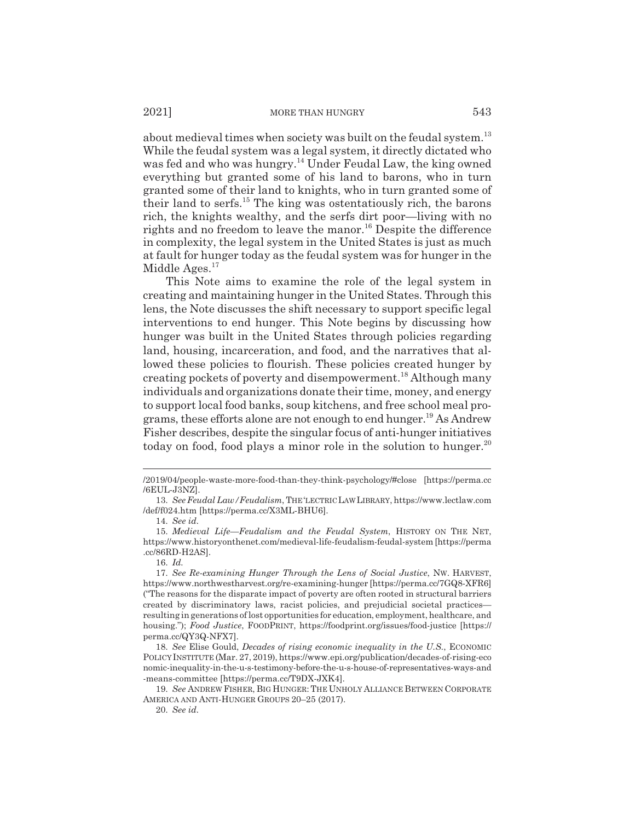about medieval times when society was built on the feudal system.<sup>13</sup> While the feudal system was a legal system, it directly dictated who was fed and who was hungry.<sup>14</sup> Under Feudal Law, the king owned everything but granted some of his land to barons, who in turn granted some of their land to knights, who in turn granted some of their land to serfs.15 The king was ostentatiously rich, the barons rich, the knights wealthy, and the serfs dirt poor—living with no rights and no freedom to leave the manor.<sup>16</sup> Despite the difference in complexity, the legal system in the United States is just as much at fault for hunger today as the feudal system was for hunger in the Middle Ages. $17$ 

This Note aims to examine the role of the legal system in creating and maintaining hunger in the United States. Through this lens, the Note discusses the shift necessary to support specific legal interventions to end hunger. This Note begins by discussing how hunger was built in the United States through policies regarding land, housing, incarceration, and food, and the narratives that allowed these policies to flourish. These policies created hunger by creating pockets of poverty and disempowerment.<sup>18</sup> Although many individuals and organizations donate their time, money, and energy to support local food banks, soup kitchens, and free school meal programs, these efforts alone are not enough to end hunger.19 As Andrew Fisher describes, despite the singular focus of anti-hunger initiatives today on food, food plays a minor role in the solution to hunger.<sup>20</sup>

<sup>/2019/04/</sup>people-waste-more-food-than-they-think-psychology/#close [https://perma.cc /6EUL-J3NZ].

<sup>13.</sup> *See Feudal Law/Feudalism*, THE'LECTRIC LAW LIBRARY, https://www.lectlaw.com /def/f024.htm [https://perma.cc/X3ML-BHU6].

<sup>14.</sup> *See id.*

<sup>15.</sup> *Medieval Life—Feudalism and the Feudal System*, HISTORY ON THE NET, https://www.historyonthenet.com/medieval-life-feudalism-feudal-system [https://perma .cc/86RD-H2AS].

<sup>16.</sup> *Id.*

<sup>17.</sup> *See Re-examining Hunger Through the Lens of Social Justice*, NW. HARVEST, https://www.northwestharvest.org/re-examining-hunger [https://perma.cc/7GQ8-XFR6] ("The reasons for the disparate impact of poverty are often rooted in structural barriers created by discriminatory laws, racist policies, and prejudicial societal practices resulting in generations of lost opportunities for education, employment, healthcare, and housing."); *Food Justice*, FOODPRINT, https://foodprint.org/issues/food-justice [https:// perma.cc/QY3Q-NFX7].

<sup>18.</sup> *See* Elise Gould, *Decades of rising economic inequality in the U.S.*, ECONOMIC POLICY INSTITUTE (Mar. 27, 2019), https://www.epi.org/publication/decades-of-rising-eco nomic-inequality-in-the-u-s-testimony-before-the-u-s-house-of-representatives-ways-and -means-committee [https://perma.cc/T9DX-JXK4].

<sup>19.</sup> *See* ANDREW FISHER, BIG HUNGER: THE UNHOLY ALLIANCE BETWEEN CORPORATE AMERICA AND ANTI-HUNGER GROUPS 20–25 (2017).

<sup>20.</sup> *See id.*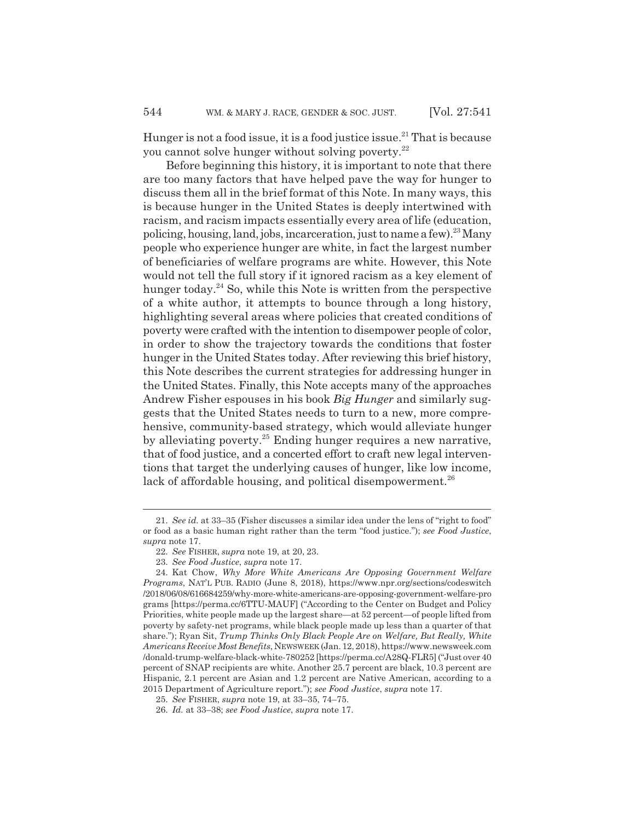Hunger is not a food issue, it is a food justice issue.<sup>21</sup> That is because you cannot solve hunger without solving poverty.22

Before beginning this history, it is important to note that there are too many factors that have helped pave the way for hunger to discuss them all in the brief format of this Note. In many ways, this is because hunger in the United States is deeply intertwined with racism, and racism impacts essentially every area of life (education, policing, housing, land, jobs, incarceration, just to name a few).<sup>23</sup> Many people who experience hunger are white, in fact the largest number of beneficiaries of welfare programs are white. However, this Note would not tell the full story if it ignored racism as a key element of hunger today.<sup>24</sup> So, while this Note is written from the perspective of a white author, it attempts to bounce through a long history, highlighting several areas where policies that created conditions of poverty were crafted with the intention to disempower people of color, in order to show the trajectory towards the conditions that foster hunger in the United States today. After reviewing this brief history, this Note describes the current strategies for addressing hunger in the United States. Finally, this Note accepts many of the approaches Andrew Fisher espouses in his book *Big Hunger* and similarly suggests that the United States needs to turn to a new, more comprehensive, community-based strategy, which would alleviate hunger by alleviating poverty.<sup>25</sup> Ending hunger requires a new narrative, that of food justice, and a concerted effort to craft new legal interventions that target the underlying causes of hunger, like low income, lack of affordable housing, and political disempowerment.<sup>26</sup>

<sup>21.</sup> *See id.* at 33–35 (Fisher discusses a similar idea under the lens of "right to food" or food as a basic human right rather than the term "food justice."); *see Food Justice*, *supra* note 17.

<sup>22.</sup> *See* FISHER, *supra* note 19, at 20, 23.

<sup>23.</sup> *See Food Justice*, *supra* note 17.

<sup>24.</sup> Kat Chow, *Why More White Americans Are Opposing Government Welfare Programs*, NAT'L PUB. RADIO (June 8, 2018), https://www.npr.org/sections/codeswitch /2018/06/08/616684259/why-more-white-americans-are-opposing-government-welfare-pro grams [https://perma.cc/6TTU-MAUF] ("According to the Center on Budget and Policy Priorities, white people made up the largest share—at 52 percent—of people lifted from poverty by safety-net programs, while black people made up less than a quarter of that share."); Ryan Sit, *Trump Thinks Only Black People Are on Welfare, But Really, White Americans Receive Most Benefits*, NEWSWEEK (Jan. 12, 2018), https://www.newsweek.com /donald-trump-welfare-black-white-780252 [https://perma.cc/A28Q-FLR5] ("Just over 40 percent of SNAP recipients are white. Another 25.7 percent are black, 10.3 percent are Hispanic, 2.1 percent are Asian and 1.2 percent are Native American, according to a 2015 Department of Agriculture report."); *see Food Justice*, *supra* note 17.

<sup>25.</sup> *See* FISHER, *supra* note 19, at 33–35, 74–75.

<sup>26.</sup> *Id.* at 33–38; *see Food Justice*, *supra* note 17.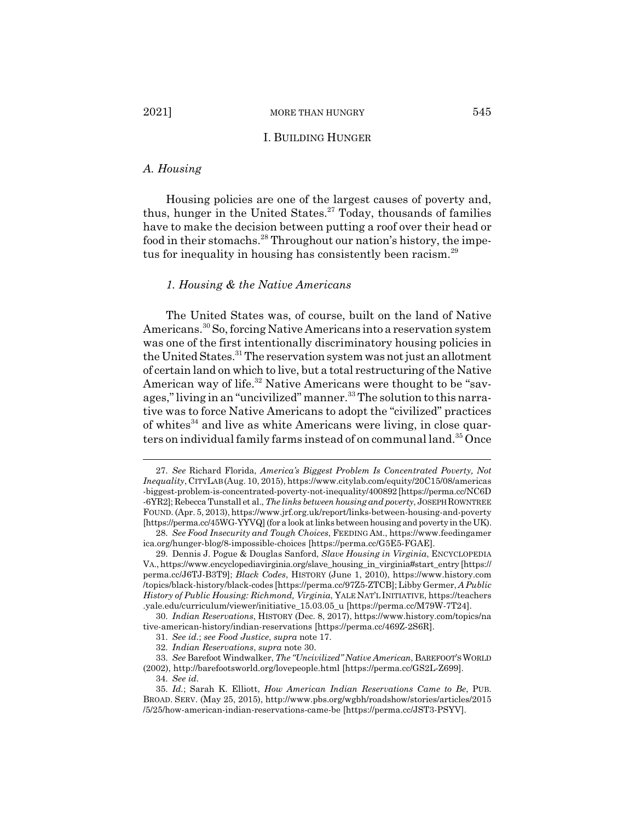## I. BUILDING HUNGER

#### *A. Housing*

Housing policies are one of the largest causes of poverty and, thus, hunger in the United States. $27 \text{ Today}$ , thousands of families have to make the decision between putting a roof over their head or food in their stomachs.<sup>28</sup> Throughout our nation's history, the impetus for inequality in housing has consistently been racism.<sup>29</sup>

## *1. Housing & the Native Americans*

The United States was, of course, built on the land of Native Americans.30 So, forcing Native Americans into a reservation system was one of the first intentionally discriminatory housing policies in the United States.<sup>31</sup> The reservation system was not just an allotment of certain land on which to live, but a total restructuring of the Native American way of life.<sup>32</sup> Native Americans were thought to be "savages," living in an "uncivilized" manner.<sup>33</sup> The solution to this narrative was to force Native Americans to adopt the "civilized" practices of whites<sup>34</sup> and live as white Americans were living, in close quarters on individual family farms instead of on communal land.<sup>35</sup> Once

<sup>27.</sup> *See* Richard Florida, *America's Biggest Problem Is Concentrated Poverty, Not Inequality*, CITYLAB (Aug. 10, 2015), https://www.citylab.com/equity/20C15/08/americas -biggest-problem-is-concentrated-poverty-not-inequality/400892 [https://perma.cc/NC6D -6YR2]; Rebecca Tunstall et al., *The links between housing and poverty*, JOSEPHROWNTREE FOUND. (Apr. 5, 2013), https://www.jrf.org.uk/report/links-between-housing-and-poverty [https://perma.cc/45WG-YYVQ] (for a look at links between housing and poverty in the UK).

<sup>28.</sup> *See Food Insecurity and Tough Choices*, FEEDING AM., https://www.feedingamer ica.org/hunger-blog/8-impossible-choices [https://perma.cc/G5E5-FGAE].

<sup>29.</sup> Dennis J. Pogue & Douglas Sanford, *Slave Housing in Virginia*, ENCYCLOPEDIA VA., https://www.encyclopediavirginia.org/slave\_housing\_in\_virginia#start\_entry [https:// perma.cc/J6TJ-B3T9]; *Black Codes*, HISTORY (June 1, 2010), https://www.history.com /topics/black-history/black-codes [https://perma.cc/97Z5-ZTCB]; Libby Germer, *A Public History of Public Housing: Richmond, Virginia*, YALE NAT'L INITIATIVE, https://teachers .yale.edu/curriculum/viewer/initiative\_15.03.05\_u [https://perma.cc/M79W-7T24].

<sup>30.</sup> *Indian Reservations*, HISTORY (Dec. 8, 2017), https://www.history.com/topics/na tive-american-history/indian-reservations [https://perma.cc/469Z-2S6R].

<sup>31.</sup> *See id.*; *see Food Justice*, *supra* note 17.

<sup>32.</sup> *Indian Reservations*, *supra* note 30.

<sup>33.</sup> *See* Barefoot Windwalker, *The "Uncivilized" Native American*, BAREFOOT'SWORLD (2002), http://barefootsworld.org/lovepeople.html [https://perma.cc/GS2L-Z699].

<sup>34.</sup> *See id.*

<sup>35.</sup> *Id.*; Sarah K. Elliott, *How American Indian Reservations Came to Be*, PUB. BROAD. SERV. (May 25, 2015), http://www.pbs.org/wgbh/roadshow/stories/articles/2015 /5/25/how-american-indian-reservations-came-be [https://perma.cc/JST3-PSYV].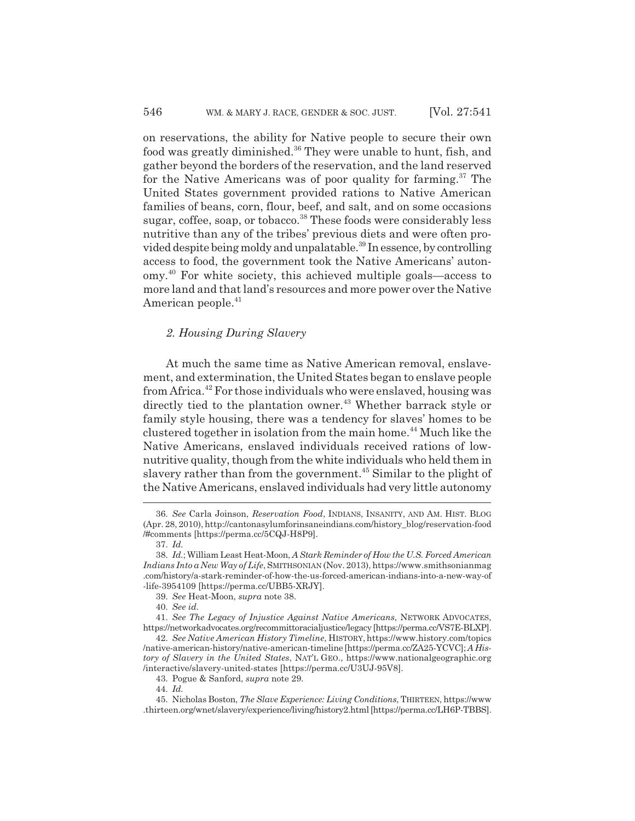on reservations, the ability for Native people to secure their own food was greatly diminished.<sup>36</sup> They were unable to hunt, fish, and gather beyond the borders of the reservation, and the land reserved for the Native Americans was of poor quality for farming.<sup>37</sup> The United States government provided rations to Native American families of beans, corn, flour, beef, and salt, and on some occasions sugar, coffee, soap, or tobacco.<sup>38</sup> These foods were considerably less nutritive than any of the tribes' previous diets and were often provided despite being moldy and unpalatable.39 In essence, by controlling access to food, the government took the Native Americans' autonomy.40 For white society, this achieved multiple goals—access to more land and that land's resources and more power over the Native American people.<sup>41</sup>

## *2. Housing During Slavery*

At much the same time as Native American removal, enslavement, and extermination, the United States began to enslave people from Africa.42 For those individuals who were enslaved, housing was directly tied to the plantation owner.<sup>43</sup> Whether barrack style or family style housing, there was a tendency for slaves' homes to be clustered together in isolation from the main home.<sup>44</sup> Much like the Native Americans, enslaved individuals received rations of lownutritive quality, though from the white individuals who held them in slavery rather than from the government.<sup>45</sup> Similar to the plight of the Native Americans, enslaved individuals had very little autonomy

39. *See* Heat-Moon, *supra* note 38.

40. *See id.*

41. *See The Legacy of Injustice Against Native Americans*, NETWORK ADVOCATES, https://networkadvocates.org/recommittoracialjustice/legacy [https://perma.cc/VS7E-BLXP].

42. *See Native American History Timeline*, HISTORY, https://www.history.com/topics /native-american-history/native-american-timeline [https://perma.cc/ZA25-YCVC]; *A History of Slavery in the United States*, NAT'L GEO., https://www.nationalgeographic.org /interactive/slavery-united-states [https://perma.cc/U3UJ-95V8].

43. Pogue & Sanford, *supra* note 29.

44. *Id.*

<sup>36.</sup> *See* Carla Joinson, *Reservation Food*, INDIANS, INSANITY, AND AM. HIST. BLOG (Apr. 28, 2010), http://cantonasylumforinsaneindians.com/history\_blog/reservation-food /#comments [https://perma.cc/5CQJ-H8P9].

<sup>37.</sup> *Id.*

<sup>38.</sup> *Id.*; William Least Heat-Moon, *A Stark Reminder of How the U.S. Forced American Indians Into a New Way of Life*, SMITHSONIAN (Nov. 2013), https://www.smithsonianmag .com/history/a-stark-reminder-of-how-the-us-forced-american-indians-into-a-new-way-of -life-3954109 [https://perma.cc/UBB5-XRJY].

<sup>45.</sup> Nicholas Boston, *The Slave Experience: Living Conditions*, THIRTEEN, https://www .thirteen.org/wnet/slavery/experience/living/history2.html [https://perma.cc/LH6P-TBBS].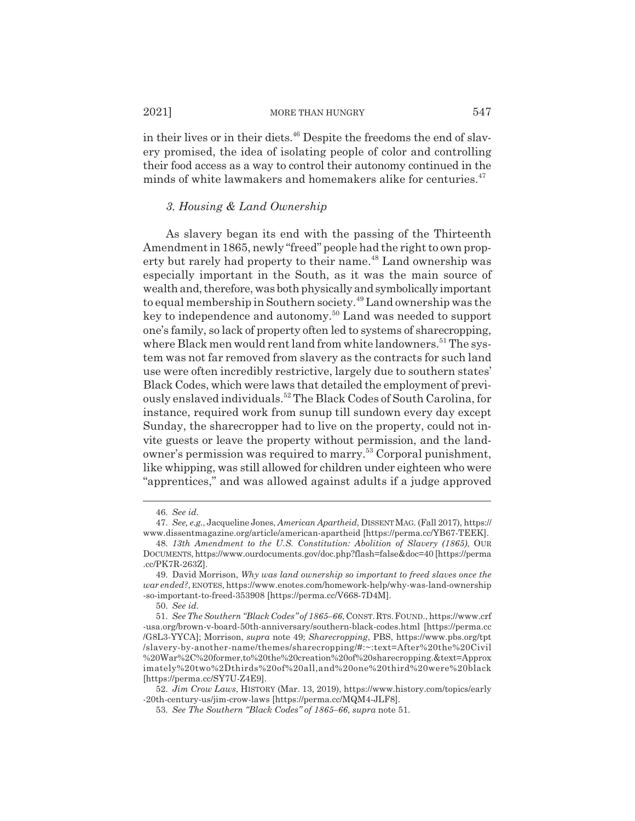2021] MORE THAN HUNGRY 547

in their lives or in their diets. $46$  Despite the freedoms the end of slavery promised, the idea of isolating people of color and controlling their food access as a way to control their autonomy continued in the minds of white lawmakers and homemakers alike for centuries. $47$ 

## *3. Housing & Land Ownership*

As slavery began its end with the passing of the Thirteenth Amendment in 1865, newly "freed" people had the right to own property but rarely had property to their name.<sup>48</sup> Land ownership was especially important in the South, as it was the main source of wealth and, therefore, was both physically and symbolically important to equal membership in Southern society.49 Land ownership was the key to independence and autonomy.50 Land was needed to support one's family, so lack of property often led to systems of sharecropping, where Black men would rent land from white landowners.<sup>51</sup> The system was not far removed from slavery as the contracts for such land use were often incredibly restrictive, largely due to southern states' Black Codes, which were laws that detailed the employment of previously enslaved individuals.52 The Black Codes of South Carolina, for instance, required work from sunup till sundown every day except Sunday, the sharecropper had to live on the property, could not invite guests or leave the property without permission, and the landowner's permission was required to marry.53 Corporal punishment, like whipping, was still allowed for children under eighteen who were "apprentices," and was allowed against adults if a judge approved

50. *See id.*

<sup>46.</sup> *See id.*

<sup>47.</sup> *See, e.g.*, Jacqueline Jones, *American Apartheid*, DISSENT MAG. (Fall 2017), https:// www.dissentmagazine.org/article/american-apartheid [https://perma.cc/YB67-TEEK].

<sup>48.</sup> *13th Amendment to the U.S. Constitution: Abolition of Slavery (1865)*, OUR DOCUMENTS, https://www.ourdocuments.gov/doc.php?flash=false&doc=40 [https://perma .cc/PK7R-263Z].

<sup>49.</sup> David Morrison, *Why was land ownership so important to freed slaves once the war ended?*, ENOTES, https://www.enotes.com/homework-help/why-was-land-ownership -so-important-to-freed-353908 [https://perma.cc/V668-7D4M].

<sup>51.</sup> *See The Southern "Black Codes" of 1865–66*, CONST.RTS.FOUND., https://www.crf -usa.org/brown-v-board-50th-anniversary/southern-black-codes.html [https://perma.cc /G8L3-YYCA]; Morrison, *supra* note 49; *Sharecropping*, PBS, https://www.pbs.org/tpt /slavery-by-another-name/themes/sharecropping/#:~:text=After%20the%20Civil %20War%2C%20former,to%20the%20creation%20of%20sharecropping.&text=Approx imately%20two%2Dthirds%20of%20all,and%20one%20third%20were%20black [https://perma.cc/SY7U-Z4E9].

<sup>52.</sup> *Jim Crow Laws*, HISTORY (Mar. 13, 2019), https://www.history.com/topics/early -20th-century-us/jim-crow-laws [https://perma.cc/MQM4-JLF8].

<sup>53.</sup> *See The Southern "Black Codes" of 1865–66*, *supra* note 51.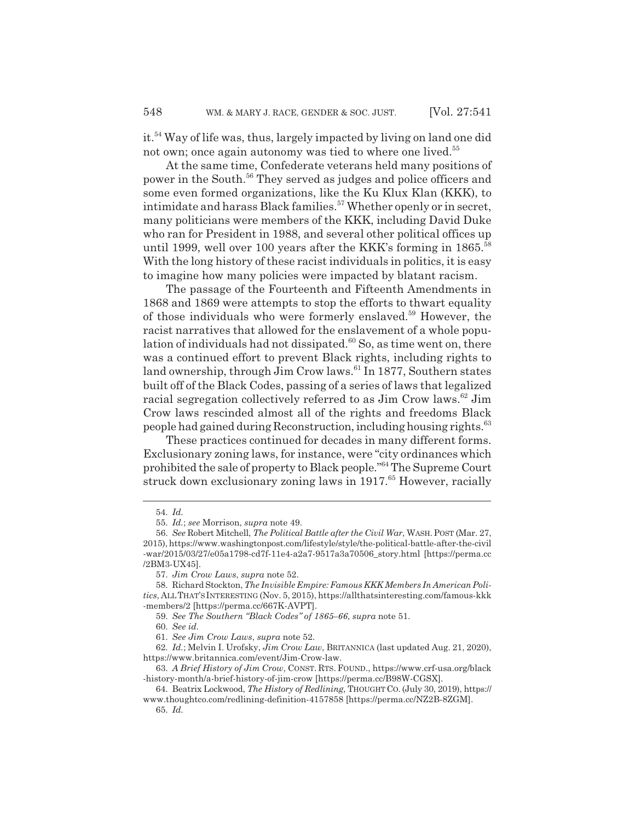it.54 Way of life was, thus, largely impacted by living on land one did not own; once again autonomy was tied to where one lived.<sup>55</sup>

At the same time, Confederate veterans held many positions of power in the South.56 They served as judges and police officers and some even formed organizations, like the Ku Klux Klan (KKK), to intimidate and harass Black families.57 Whether openly or in secret, many politicians were members of the KKK, including David Duke who ran for President in 1988, and several other political offices up until 1999, well over 100 years after the KKK's forming in 1865.<sup>58</sup> With the long history of these racist individuals in politics, it is easy to imagine how many policies were impacted by blatant racism.

The passage of the Fourteenth and Fifteenth Amendments in 1868 and 1869 were attempts to stop the efforts to thwart equality of those individuals who were formerly enslaved.59 However, the racist narratives that allowed for the enslavement of a whole population of individuals had not dissipated.<sup>60</sup> So, as time went on, there was a continued effort to prevent Black rights, including rights to land ownership, through  $\text{Jim}$  Crow laws.<sup>61</sup> In 1877, Southern states built off of the Black Codes, passing of a series of laws that legalized racial segregation collectively referred to as  $\text{Jim}$  Crow laws.<sup>62</sup> Jim Crow laws rescinded almost all of the rights and freedoms Black people had gained during Reconstruction, including housing rights.<sup>63</sup>

These practices continued for decades in many different forms. Exclusionary zoning laws, for instance, were "city ordinances which prohibited the sale of property to Black people."64 The Supreme Court struck down exclusionary zoning laws in 1917.<sup>65</sup> However, racially

<sup>54.</sup> *Id.*

<sup>55.</sup> *Id.*; *see* Morrison, *supra* note 49.

<sup>56.</sup> *See* Robert Mitchell, *The Political Battle after the Civil War*, WASH. POST (Mar. 27, 2015), https://www.washingtonpost.com/lifestyle/style/the-political-battle-after-the-civil -war/2015/03/27/e05a1798-cd7f-11e4-a2a7-9517a3a70506\_story.html [https://perma.cc /2BM3-UX45].

<sup>57.</sup> *Jim Crow Laws*, *supra* note 52.

<sup>58.</sup> Richard Stockton, *The Invisible Empire: Famous KKK Members In American Politics*, ALLTHAT'SINTERESTING (Nov. 5, 2015), https://allthatsinteresting.com/famous-kkk -members/2 [https://perma.cc/667K-AVPT].

<sup>59.</sup> *See The Southern "Black Codes" of 1865–66*, *supra* note 51.

<sup>60.</sup> *See id.*

<sup>61.</sup> *See Jim Crow Laws*, *supra* note 52.

<sup>62.</sup> *Id.*; Melvin I. Urofsky, *Jim Crow Law*, BRITANNICA (last updated Aug. 21, 2020), https://www.britannica.com/event/Jim-Crow-law.

<sup>63.</sup> *A Brief History of Jim Crow*, CONST. RTS. FOUND., https://www.crf-usa.org/black -history-month/a-brief-history-of-jim-crow [https://perma.cc/B98W-CGSX].

<sup>64.</sup> Beatrix Lockwood, *The History of Redlining*, THOUGHT CO. (July 30, 2019), https:// www.thoughtco.com/redlining-definition-4157858 [https://perma.cc/NZ2B-8ZGM].

<sup>65.</sup> *Id.*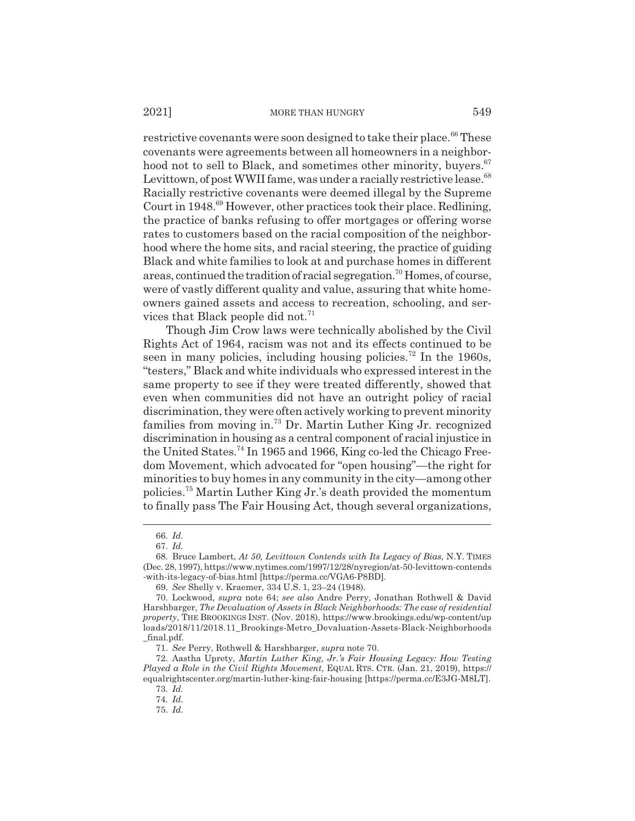#### 2021] MORE THAN HUNGRY 549

restrictive covenants were soon designed to take their place.<sup>66</sup> These covenants were agreements between all homeowners in a neighborhood not to sell to Black, and sometimes other minority, buyers.<sup>67</sup> Levittown, of post WWII fame, was under a racially restrictive lease.<sup>68</sup> Racially restrictive covenants were deemed illegal by the Supreme Court in 1948.69 However, other practices took their place. Redlining, the practice of banks refusing to offer mortgages or offering worse rates to customers based on the racial composition of the neighborhood where the home sits, and racial steering, the practice of guiding Black and white families to look at and purchase homes in different areas, continued the tradition of racial segregation.70 Homes, of course, were of vastly different quality and value, assuring that white homeowners gained assets and access to recreation, schooling, and services that Black people did not.<sup>71</sup>

Though Jim Crow laws were technically abolished by the Civil Rights Act of 1964, racism was not and its effects continued to be seen in many policies, including housing policies.<sup>72</sup> In the 1960s, "testers," Black and white individuals who expressed interest in the same property to see if they were treated differently, showed that even when communities did not have an outright policy of racial discrimination, they were often actively working to prevent minority families from moving in.73 Dr. Martin Luther King Jr. recognized discrimination in housing as a central component of racial injustice in the United States.74 In 1965 and 1966, King co-led the Chicago Freedom Movement, which advocated for "open housing"—the right for minorities to buy homes in any community in the city—among other policies.75 Martin Luther King Jr.'s death provided the momentum to finally pass The Fair Housing Act, though several organizations,

<sup>66.</sup> *Id.*

<sup>67.</sup> *Id.*

<sup>68.</sup> Bruce Lambert, *At 50, Levittown Contends with Its Legacy of Bias*, N.Y. TIMES (Dec. 28, 1997), https://www.nytimes.com/1997/12/28/nyregion/at-50-levittown-contends -with-its-legacy-of-bias.html [https://perma.cc/VGA6-P8BD].

<sup>69.</sup> *See* Shelly v. Kraemer, 334 U.S. 1, 23–24 (1948).

<sup>70.</sup> Lockwood, *supra* note 64; *see also* Andre Perry, Jonathan Rothwell & David Harshbarger, *The Devaluation of Assets in Black Neighborhoods: The case of residential property*, THE BROOKINGS INST. (Nov. 2018), https://www.brookings.edu/wp-content/up loads/2018/11/2018.11\_Brookings-Metro\_Devaluation-Assets-Black-Neighborhoods \_final.pdf.

<sup>71.</sup> *See* Perry, Rothwell & Harshbarger, *supra* note 70.

<sup>72.</sup> Aastha Uprety, *Martin Luther King, Jr.'s Fair Housing Legacy: How Testing Played a Role in the Civil Rights Movement*, EQUAL RTS. CTR. (Jan. 21, 2019), https:// equalrightscenter.org/martin-luther-king-fair-housing [https://perma.cc/E3JG-M8LT].

<sup>73.</sup> *Id.*

<sup>74.</sup> *Id.*

<sup>75.</sup> *Id.*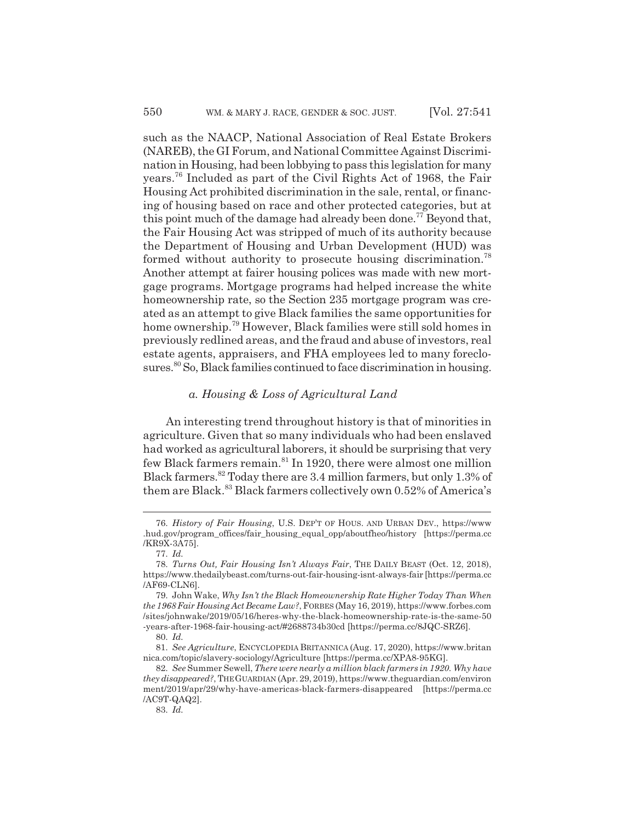such as the NAACP, National Association of Real Estate Brokers (NAREB), the GI Forum, and National Committee Against Discrimination in Housing, had been lobbying to pass this legislation for many years.76 Included as part of the Civil Rights Act of 1968, the Fair Housing Act prohibited discrimination in the sale, rental, or financing of housing based on race and other protected categories, but at this point much of the damage had already been done.<sup>77</sup> Beyond that, the Fair Housing Act was stripped of much of its authority because the Department of Housing and Urban Development (HUD) was formed without authority to prosecute housing discrimination.<sup>78</sup> Another attempt at fairer housing polices was made with new mortgage programs. Mortgage programs had helped increase the white homeownership rate, so the Section 235 mortgage program was created as an attempt to give Black families the same opportunities for home ownership.79 However, Black families were still sold homes in previously redlined areas, and the fraud and abuse of investors, real estate agents, appraisers, and FHA employees led to many foreclosures.<sup>80</sup> So, Black families continued to face discrimination in housing.

## *a. Housing & Loss of Agricultural Land*

An interesting trend throughout history is that of minorities in agriculture. Given that so many individuals who had been enslaved had worked as agricultural laborers, it should be surprising that very few Black farmers remain.<sup>81</sup> In 1920, there were almost one million Black farmers.82 Today there are 3.4 million farmers, but only 1.3% of them are Black.<sup>83</sup> Black farmers collectively own 0.52% of America's

<sup>76.</sup> *History of Fair Housing*, U.S. DEP'T OF HOUS. AND URBAN DEV., https://www .hud.gov/program\_offices/fair\_housing\_equal\_opp/aboutfheo/history [https://perma.cc /KR9X-3A75].

<sup>77.</sup> *Id.*

<sup>78.</sup> *Turns Out, Fair Housing Isn't Always Fair*, THE DAILY BEAST (Oct. 12, 2018), https://www.thedailybeast.com/turns-out-fair-housing-isnt-always-fair [https://perma.cc /AF69-CLN6].

<sup>79.</sup> John Wake, *Why Isn't the Black Homeownership Rate Higher Today Than When the 1968 Fair Housing Act Became Law?*, FORBES (May 16, 2019), https://www.forbes.com /sites/johnwake/2019/05/16/heres-why-the-black-homeownership-rate-is-the-same-50 -years-after-1968-fair-housing-act/#2688734b30cd [https://perma.cc/8JQC-SRZ6].

<sup>80.</sup> *Id.*

<sup>81.</sup> *See Agriculture*, ENCYCLOPEDIA BRITANNICA (Aug. 17, 2020), https://www.britan nica.com/topic/slavery-sociology/Agriculture [https://perma.cc/XPA8-95KG].

<sup>82.</sup> *See* Summer Sewell, *There were nearly a million black farmers in 1920. Why have they disappeared?*, THEGUARDIAN (Apr. 29, 2019), https://www.theguardian.com/environ ment/2019/apr/29/why-have-americas-black-farmers-disappeared [https://perma.cc /AC9T-QAQ2].

<sup>83.</sup> *Id.*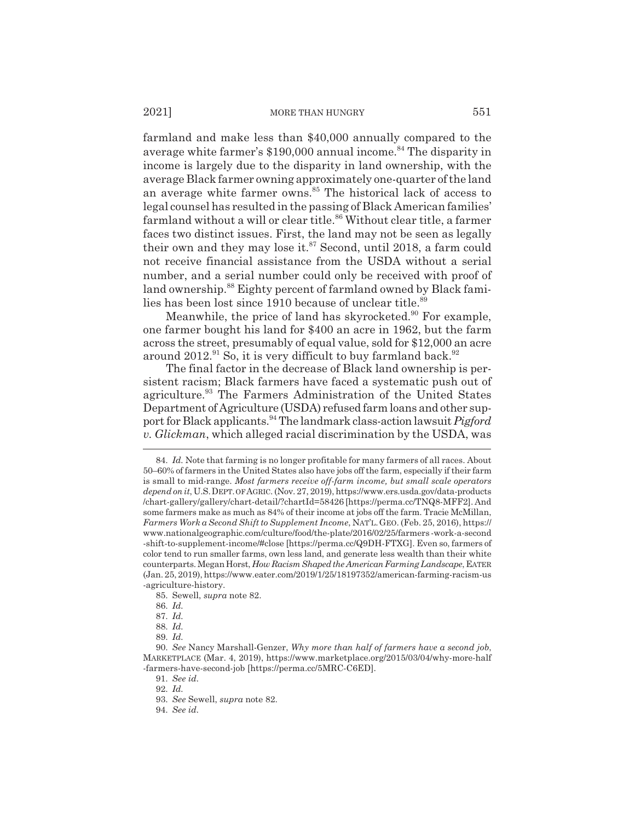#### 2021] MORE THAN HUNGRY 551

farmland and make less than \$40,000 annually compared to the average white farmer's \$190,000 annual income.<sup>84</sup> The disparity in income is largely due to the disparity in land ownership, with the average Black farmer owning approximately one-quarter of the land an average white farmer owns.<sup>85</sup> The historical lack of access to legal counsel has resulted in the passing of Black American families' farmland without a will or clear title.<sup>86</sup> Without clear title, a farmer faces two distinct issues. First, the land may not be seen as legally their own and they may lose it. $87$  Second, until 2018, a farm could not receive financial assistance from the USDA without a serial number, and a serial number could only be received with proof of land ownership.<sup>88</sup> Eighty percent of farmland owned by Black families has been lost since 1910 because of unclear title.<sup>89</sup>

Meanwhile, the price of land has skyrocketed.<sup>90</sup> For example, one farmer bought his land for \$400 an acre in 1962, but the farm across the street, presumably of equal value, sold for \$12,000 an acre around  $2012.<sup>91</sup>$  So, it is very difficult to buy farmland back.<sup>92</sup>

The final factor in the decrease of Black land ownership is persistent racism; Black farmers have faced a systematic push out of agriculture.<sup>93</sup> The Farmers Administration of the United States Department of Agriculture (USDA) refused farm loans and other support for Black applicants.94 The landmark class-action lawsuit *Pigford v. Glickman*, which alleged racial discrimination by the USDA, was

85. Sewell, *supra* note 82.

<sup>84.</sup> *Id.* Note that farming is no longer profitable for many farmers of all races. About 50–60% of farmers in the United States also have jobs off the farm, especially if their farm is small to mid-range. *Most farmers receive off-farm income, but small scale operators depend on it*, U.S.DEPT. OF AGRIC. (Nov. 27, 2019), https://www.ers.usda.gov/data-products /chart-gallery/gallery/chart-detail/?chartId=58426 [https://perma.cc/TNQ8-MFF2]. And some farmers make as much as 84% of their income at jobs off the farm. Tracie McMillan, *Farmers Work a Second Shift to Supplement Income*, NAT'L.GEO. (Feb. 25, 2016), https:// www.nationalgeographic.com/culture/food/the-plate/2016/02/25/farmers -work-a-second -shift-to-supplement-income/#close [https://perma.cc/Q9DH-FTXG]. Even so, farmers of color tend to run smaller farms, own less land, and generate less wealth than their white counterparts. Megan Horst, *How Racism Shaped the American Farming Landscape*, EATER (Jan. 25, 2019), https://www.eater.com/2019/1/25/18197352/american-farming-racism-us -agriculture-history.

<sup>86.</sup> *Id.*

<sup>87.</sup> *Id.*

<sup>88.</sup> *Id.*

<sup>89.</sup> *Id.*

<sup>90.</sup> *See* Nancy Marshall-Genzer, *Why more than half of farmers have a second job*, MARKETPLACE (Mar. 4, 2019), https://www.marketplace.org/2015/03/04/why-more-half -farmers-have-second-job [https://perma.cc/5MRC-C6ED].

<sup>91.</sup> *See id.*

<sup>92.</sup> *Id.*

<sup>93.</sup> *See* Sewell, *supra* note 82.

<sup>94.</sup> *See id.*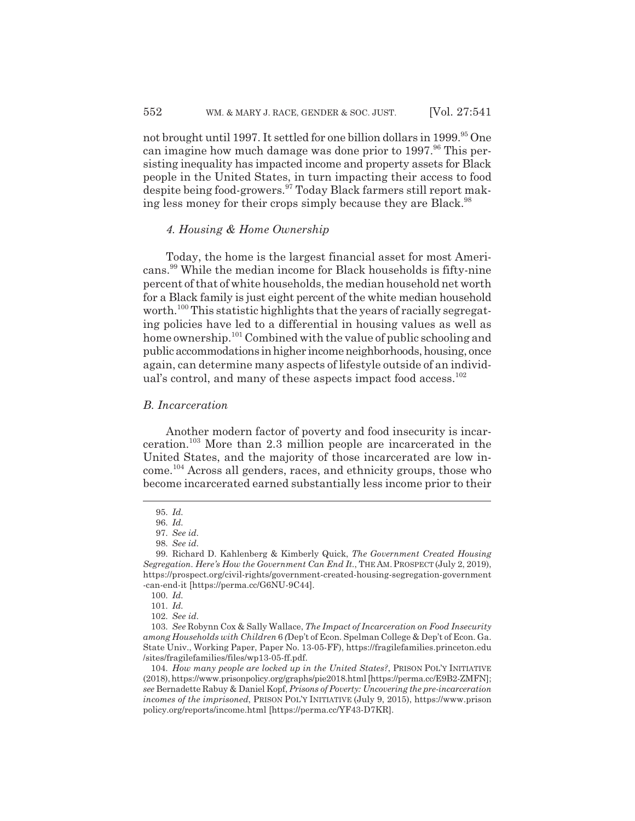not brought until 1997. It settled for one billion dollars in 1999.<sup>95</sup> One can imagine how much damage was done prior to  $1997.^{96}$  This persisting inequality has impacted income and property assets for Black people in the United States, in turn impacting their access to food despite being food-growers.97 Today Black farmers still report making less money for their crops simply because they are Black.<sup>98</sup>

## *4. Housing & Home Ownership*

Today, the home is the largest financial asset for most Americans.99 While the median income for Black households is fifty-nine percent of that of white households, the median household net worth for a Black family is just eight percent of the white median household worth.<sup>100</sup> This statistic highlights that the years of racially segregating policies have led to a differential in housing values as well as home ownership.<sup>101</sup> Combined with the value of public schooling and public accommodations in higher income neighborhoods, housing, once again, can determine many aspects of lifestyle outside of an individual's control, and many of these aspects impact food access.<sup>102</sup>

## *B. Incarceration*

Another modern factor of poverty and food insecurity is incarceration.103 More than 2.3 million people are incarcerated in the United States, and the majority of those incarcerated are low income.104 Across all genders, races, and ethnicity groups, those who become incarcerated earned substantially less income prior to their

<sup>95.</sup> *Id.*

<sup>96.</sup> *Id.*

<sup>97.</sup> *See id.*

<sup>98.</sup> *See id.*

<sup>99.</sup> Richard D. Kahlenberg & Kimberly Quick, *The Government Created Housing Segregation. Here's How the Government Can End It.*, THE AM. PROSPECT (July 2, 2019), https://prospect.org/civil-rights/government-created-housing-segregation-government -can-end-it [https://perma.cc/G6NU-9C44].

<sup>100.</sup> *Id.*

<sup>101.</sup> *Id.*

<sup>102.</sup> *See id.*

<sup>103.</sup> *See* Robynn Cox & Sally Wallace, *The Impact of Incarceration on Food Insecurity among Households with Children* 6 *(*Dep't of Econ. Spelman College & Dep't of Econ. Ga. State Univ., Working Paper, Paper No. 13-05-FF), https://fragilefamilies.princeton.edu /sites/fragilefamilies/files/wp13-05-ff.pdf.

<sup>104.</sup> *How many people are locked up in the United States?*, PRISON POL'Y INITIATIVE (2018), https://www.prisonpolicy.org/graphs/pie2018.html [https://perma.cc/E9B2-ZMFN]; *see* Bernadette Rabuy & Daniel Kopf, *Prisons of Poverty: Uncovering the pre-incarceration incomes of the imprisoned*, PRISON POL'Y INITIATIVE (July 9, 2015), https://www.prison policy.org/reports/income.html [https://perma.cc/YF43-D7KR].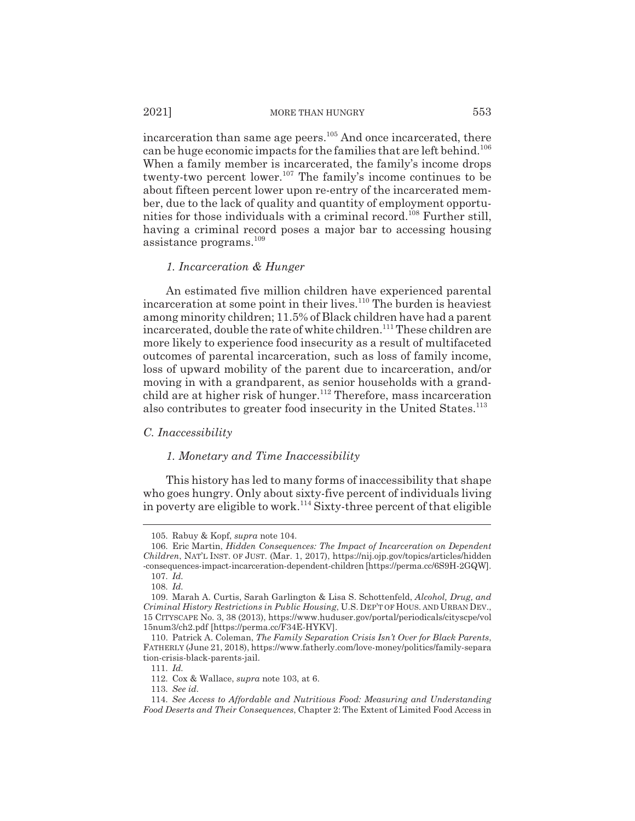incarceration than same age peers.<sup>105</sup> And once incarcerated, there can be huge economic impacts for the families that are left behind.<sup>106</sup> When a family member is incarcerated, the family's income drops twenty-two percent lower.<sup>107</sup> The family's income continues to be about fifteen percent lower upon re-entry of the incarcerated member, due to the lack of quality and quantity of employment opportunities for those individuals with a criminal record.<sup>108</sup> Further still, having a criminal record poses a major bar to accessing housing assistance programs.109

#### *1. Incarceration & Hunger*

An estimated five million children have experienced parental incarceration at some point in their lives.<sup>110</sup> The burden is heaviest among minority children; 11.5% of Black children have had a parent incarcerated, double the rate of white children.<sup>111</sup> These children are more likely to experience food insecurity as a result of multifaceted outcomes of parental incarceration, such as loss of family income, loss of upward mobility of the parent due to incarceration, and/or moving in with a grandparent, as senior households with a grandchild are at higher risk of hunger.<sup>112</sup> Therefore, mass incarceration also contributes to greater food insecurity in the United States.<sup>113</sup>

## *C. Inaccessibility*

## *1. Monetary and Time Inaccessibility*

This history has led to many forms of inaccessibility that shape who goes hungry. Only about sixty-five percent of individuals living in poverty are eligible to work.<sup>114</sup> Sixty-three percent of that eligible

<sup>105.</sup> Rabuy & Kopf, *supra* note 104.

<sup>106.</sup> Eric Martin, *Hidden Consequences: The Impact of Incarceration on Dependent Children*, NAT'L INST. OF JUST. (Mar. 1, 2017), https://nij.ojp.gov/topics/articles/hidden -consequences-impact-incarceration-dependent-children [https://perma.cc/6S9H-2GQW]. 107. *Id.*

<sup>108.</sup> *Id.*

<sup>109.</sup> Marah A. Curtis, Sarah Garlington & Lisa S. Schottenfeld, *Alcohol, Drug, and Criminal History Restrictions in Public Housing*, U.S. DEP'T OF HOUS. AND URBAN DEV., 15 CITYSCAPE No. 3, 38 (2013), https://www.huduser.gov/portal/periodicals/cityscpe/vol 15num3/ch2.pdf [https://perma.cc/F34E-HYKV].

<sup>110.</sup> Patrick A. Coleman, *The Family Separation Crisis Isn't Over for Black Parents*, FATHERLY (June 21, 2018), https://www.fatherly.com/love-money/politics/family-separa tion-crisis-black-parents-jail.

<sup>111.</sup> *Id.*

<sup>112.</sup> Cox & Wallace, *supra* note 103, at 6.

<sup>113.</sup> *See id.*

<sup>114.</sup> *See Access to Affordable and Nutritious Food: Measuring and Understanding Food Deserts and Their Consequences*, Chapter 2: The Extent of Limited Food Access in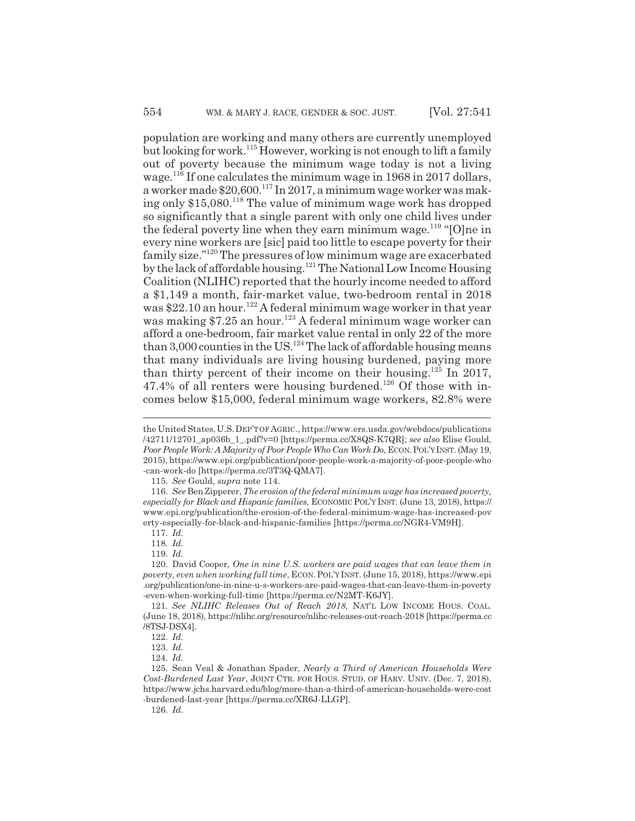population are working and many others are currently unemployed but looking for work.115 However, working is not enough to lift a family out of poverty because the minimum wage today is not a living wage.116 If one calculates the minimum wage in 1968 in 2017 dollars, a worker made \$20,600.<sup>117</sup> In 2017, a minimum wage worker was making only \$15,080.<sup>118</sup> The value of minimum wage work has dropped so significantly that a single parent with only one child lives under the federal poverty line when they earn minimum wage.<sup>119</sup> "[O]ne in every nine workers are [sic] paid too little to escape poverty for their family size."120 The pressures of low minimum wage are exacerbated by the lack of affordable housing.121 The National Low Income Housing Coalition (NLIHC) reported that the hourly income needed to afford a \$1,149 a month, fair-market value, two-bedroom rental in 2018 was \$22.10 an hour.<sup>122</sup> A federal minimum wage worker in that year was making \$7.25 an hour.<sup>123</sup> A federal minimum wage worker can afford a one-bedroom, fair market value rental in only 22 of the more than 3,000 counties in the US.<sup>124</sup> The lack of affordable housing means that many individuals are living housing burdened, paying more than thirty percent of their income on their housing.125 In 2017, 47.4% of all renters were housing burdened.<sup>126</sup> Of those with incomes below \$15,000, federal minimum wage workers, 82.8% were

115. *See* Gould, *supra* note 114.

117. *Id.*

118. *Id.*

119. *Id.*

the United States,U.S.DEP'T OF AGRIC., https://www.ers.usda.gov/webdocs/publications /42711/12701\_ap036b\_1\_.pdf?v=0 [https://perma.cc/X8QS-K7QR]; *see also* Elise Gould, *Poor People Work: A Majority of Poor People Who Can Work Do*, ECON.POL'Y INST. (May 19, 2015), https://www.epi.org/publication/poor-people-work-a-majority-of-poor-people-who -can-work-do [https://perma.cc/3T3Q-QMA7].

<sup>116.</sup> *See* Ben Zipperer, *The erosion of the federal minimum wage has increased poverty, especially for Black and Hispanic families*, ECONOMIC POL'Y INST. (June 13, 2018), https:// www.epi.org/publication/the-erosion-of-the-federal-minimum-wage-has-increased-pov erty-especially-for-black-and-hispanic-families [https://perma.cc/NGR4-VM9H].

<sup>120.</sup> David Cooper, *One in nine U.S. workers are paid wages that can leave them in poverty, even when working full time*, ECON.POL'Y INST. (June 15, 2018), https://www.epi .org/publication/one-in-nine-u-s-workers-are-paid-wages-that-can-leave-them-in-poverty -even-when-working-full-time [https://perma.cc/N2MT-K6JY].

<sup>121.</sup> *See NLIHC Releases Out of Reach 2018*, NAT'L LOW INCOME HOUS. COAL. (June 18, 2018), https://nlihc.org/resource/nlihc-releases-out-reach-2018 [https://perma.cc /8TSJ-DSX4].

<sup>122.</sup> *Id.*

<sup>123.</sup> *Id.*

<sup>124.</sup> *Id.*

<sup>125.</sup> Sean Veal & Jonathan Spader, *Nearly a Third of American Households Were Cost-Burdened Last Year*, JOINT CTR. FOR HOUS. STUD. OF HARV. UNIV. (Dec. 7, 2018), https://www.jchs.harvard.edu/blog/more-than-a-third-of-american-households-were-cost -burdened-last-year [https://perma.cc/XR6J-LLGP].

<sup>126.</sup> *Id.*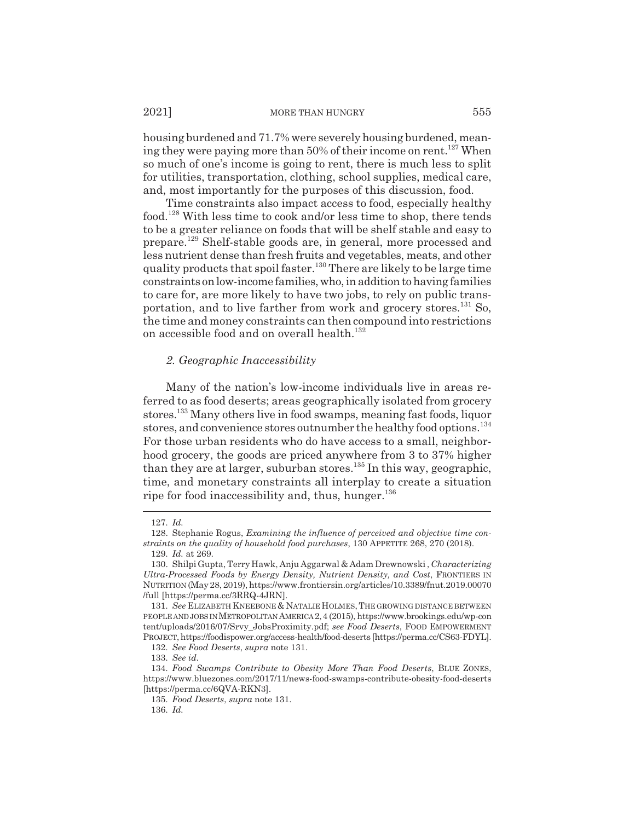#### 2021] MORE THAN HUNGRY 555

housing burdened and 71.7% were severely housing burdened, meaning they were paying more than 50% of their income on rent.<sup>127</sup> When so much of one's income is going to rent, there is much less to split for utilities, transportation, clothing, school supplies, medical care, and, most importantly for the purposes of this discussion, food.

Time constraints also impact access to food, especially healthy food.128 With less time to cook and/or less time to shop, there tends to be a greater reliance on foods that will be shelf stable and easy to prepare.129 Shelf-stable goods are, in general, more processed and less nutrient dense than fresh fruits and vegetables, meats, and other quality products that spoil faster.130 There are likely to be large time constraints on low-income families, who, in addition to having families to care for, are more likely to have two jobs, to rely on public transportation, and to live farther from work and grocery stores.<sup>131</sup> So, the time and money constraints can then compound into restrictions on accessible food and on overall health.<sup>132</sup>

#### *2. Geographic Inaccessibility*

Many of the nation's low-income individuals live in areas referred to as food deserts; areas geographically isolated from grocery stores.133 Many others live in food swamps, meaning fast foods, liquor stores, and convenience stores outnumber the healthy food options.<sup>134</sup> For those urban residents who do have access to a small, neighborhood grocery, the goods are priced anywhere from 3 to 37% higher than they are at larger, suburban stores.<sup>135</sup> In this way, geographic, time, and monetary constraints all interplay to create a situation ripe for food inaccessibility and, thus, hunger. $136$ 

132. *See Food Deserts*, *supra* note 131.

<sup>127.</sup> *Id.*

<sup>128.</sup> Stephanie Rogus, *Examining the influence of perceived and objective time constraints on the quality of household food purchases*, 130 APPETITE 268, 270 (2018).

<sup>129.</sup> *Id.* at 269.

<sup>130.</sup> Shilpi Gupta, Terry Hawk, Anju Aggarwal & Adam Drewnowski , *Characterizing Ultra-Processed Foods by Energy Density, Nutrient Density, and Cost*, FRONTIERS IN NUTRITION (May 28, 2019), https://www.frontiersin.org/articles/10.3389/fnut.2019.00070 /full [https://perma.cc/3RRQ-4JRN].

<sup>131.</sup> *See* ELIZABETH KNEEBONE & NATALIE HOLMES, THE GROWING DISTANCE BETWEEN PEOPLE AND JOBS IN METROPOLITAN AMERICA2,4 (2015), https://www.brookings.edu/wp-con tent/uploads/2016/07/Srvy\_JobsProximity.pdf; *see Food Deserts*, FOOD EMPOWERMENT PROJECT, https://foodispower.org/access-health/food-deserts [https://perma.cc/CS63-FDYL].

<sup>133.</sup> *See id.*

<sup>134.</sup> *Food Swamps Contribute to Obesity More Than Food Deserts*, BLUE ZONES, https://www.bluezones.com/2017/11/news-food-swamps-contribute-obesity-food-deserts [https://perma.cc/6QVA-RKN3].

<sup>135.</sup> *Food Deserts*, *supra* note 131.

<sup>136.</sup> *Id.*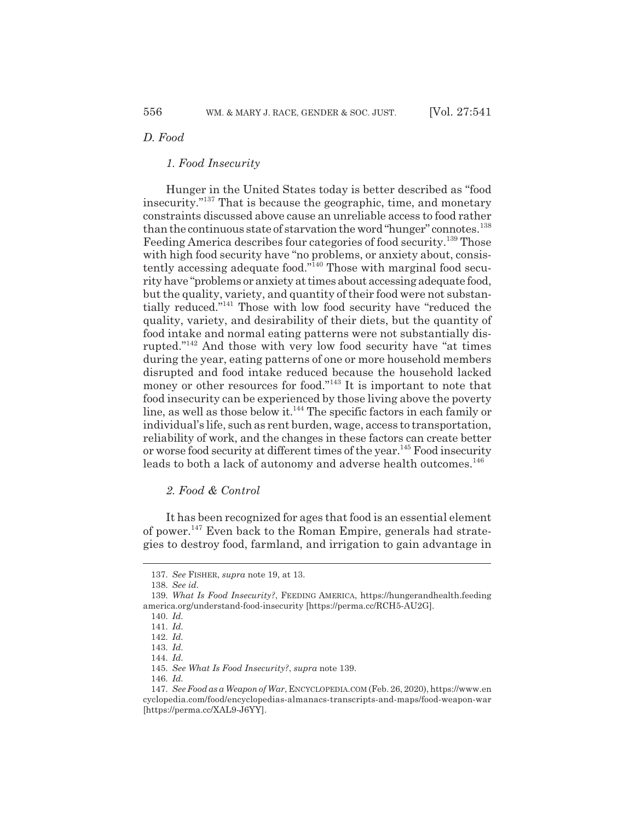## *D. Food*

## *1. Food Insecurity*

Hunger in the United States today is better described as "food insecurity."137 That is because the geographic, time, and monetary constraints discussed above cause an unreliable access to food rather than the continuous state of starvation the word "hunger" connotes.<sup>138</sup> Feeding America describes four categories of food security.<sup>139</sup> Those with high food security have "no problems, or anxiety about, consistently accessing adequate food."140 Those with marginal food security have "problems or anxiety at times about accessing adequate food, but the quality, variety, and quantity of their food were not substantially reduced."141 Those with low food security have "reduced the quality, variety, and desirability of their diets, but the quantity of food intake and normal eating patterns were not substantially disrupted."142 And those with very low food security have "at times during the year, eating patterns of one or more household members disrupted and food intake reduced because the household lacked money or other resources for food."<sup>143</sup> It is important to note that food insecurity can be experienced by those living above the poverty line, as well as those below it.<sup>144</sup> The specific factors in each family or individual's life, such as rent burden, wage, access to transportation, reliability of work, and the changes in these factors can create better or worse food security at different times of the year.<sup>145</sup> Food insecurity leads to both a lack of autonomy and adverse health outcomes.<sup>146</sup>

## *2. Food & Control*

It has been recognized for ages that food is an essential element of power.147 Even back to the Roman Empire, generals had strategies to destroy food, farmland, and irrigation to gain advantage in

<sup>137.</sup> *See* FISHER, *supra* note 19, at 13.

<sup>138.</sup> *See id.*

<sup>139.</sup> *What Is Food Insecurity?*, FEEDING AMERICA, https://hungerandhealth.feeding america.org/understand-food-insecurity [https://perma.cc/RCH5-AU2G].

<sup>140.</sup> *Id.*

<sup>141.</sup> *Id.*

<sup>142.</sup> *Id.*

<sup>143.</sup> *Id.*

<sup>144.</sup> *Id.*

<sup>145.</sup> *See What Is Food Insecurity?*, *supra* note 139.

<sup>146.</sup> *Id.*

<sup>147.</sup> *See Food as a Weapon of War*, ENCYCLOPEDIA.COM (Feb. 26, 2020), https://www.en cyclopedia.com/food/encyclopedias-almanacs-transcripts-and-maps/food-weapon-war [https://perma.cc/XAL9-J6YY].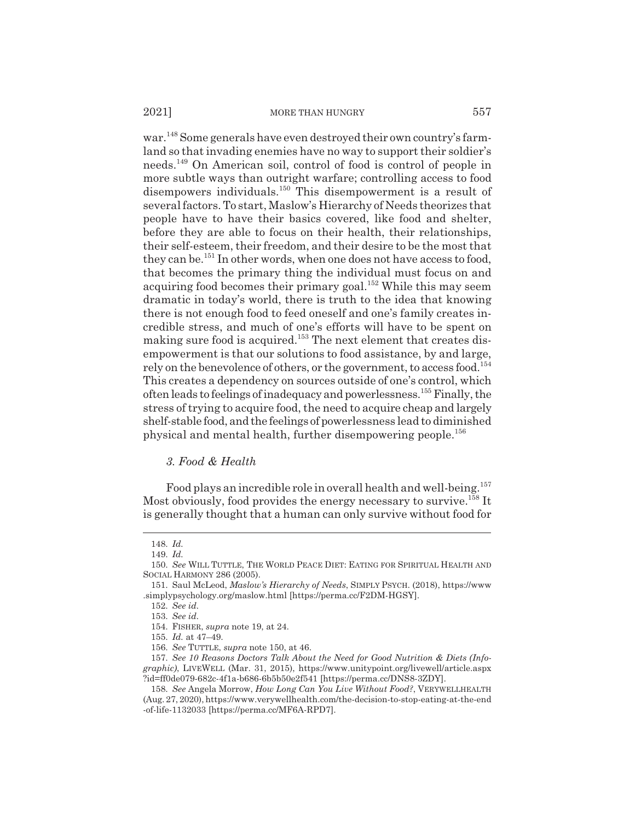war.<sup>148</sup> Some generals have even destroyed their own country's farmland so that invading enemies have no way to support their soldier's needs.149 On American soil, control of food is control of people in more subtle ways than outright warfare; controlling access to food disempowers individuals.150 This disempowerment is a result of several factors. To start, Maslow's Hierarchy of Needs theorizes that people have to have their basics covered, like food and shelter, before they are able to focus on their health, their relationships, their self-esteem, their freedom, and their desire to be the most that they can be.<sup>151</sup> In other words, when one does not have access to food, that becomes the primary thing the individual must focus on and acquiring food becomes their primary goal.<sup>152</sup> While this may seem dramatic in today's world, there is truth to the idea that knowing there is not enough food to feed oneself and one's family creates incredible stress, and much of one's efforts will have to be spent on making sure food is acquired.<sup>153</sup> The next element that creates disempowerment is that our solutions to food assistance, by and large, rely on the benevolence of others, or the government, to access food.154 This creates a dependency on sources outside of one's control, which often leads to feelings of inadequacy and powerlessness.155 Finally, the stress of trying to acquire food, the need to acquire cheap and largely shelf-stable food, and the feelings of powerlessness lead to diminished physical and mental health, further disempowering people.<sup>156</sup>

## *3. Food & Health*

Food plays an incredible role in overall health and well-being.<sup>157</sup> Most obviously, food provides the energy necessary to survive.<sup>158</sup> It is generally thought that a human can only survive without food for

<sup>148.</sup> *Id.*

<sup>149.</sup> *Id.*

<sup>150.</sup> *See* WILL TUTTLE, THE WORLD PEACE DIET: EATING FOR SPIRITUAL HEALTH AND SOCIAL HARMONY 286 (2005).

<sup>151.</sup> Saul McLeod, *Maslow's Hierarchy of Needs*, SIMPLY PSYCH. (2018), https://www .simplypsychology.org/maslow.html [https://perma.cc/F2DM-HGSY].

<sup>152.</sup> *See id.*

<sup>153.</sup> *See id.*

<sup>154.</sup> FISHER, *supra* note 19, at 24.

<sup>155.</sup> *Id.* at 47–49.

<sup>156.</sup> *See* TUTTLE, *supra* note 150, at 46.

<sup>157.</sup> *See 10 Reasons Doctors Talk About the Need for Good Nutrition & Diets (Infographic)*, LIVEWELL (Mar. 31, 2015), https://www.unitypoint.org/livewell/article.aspx ?id=ff0de079-682c-4f1a-b686-6b5b50e2f541 [https://perma.cc/DNS8-3ZDY].

<sup>158.</sup> *See* Angela Morrow, *How Long Can You Live Without Food?*, VERYWELLHEALTH (Aug. 27, 2020), https://www.verywellhealth.com/the-decision-to-stop-eating-at-the-end -of-life-1132033 [https://perma.cc/MF6A-RPD7].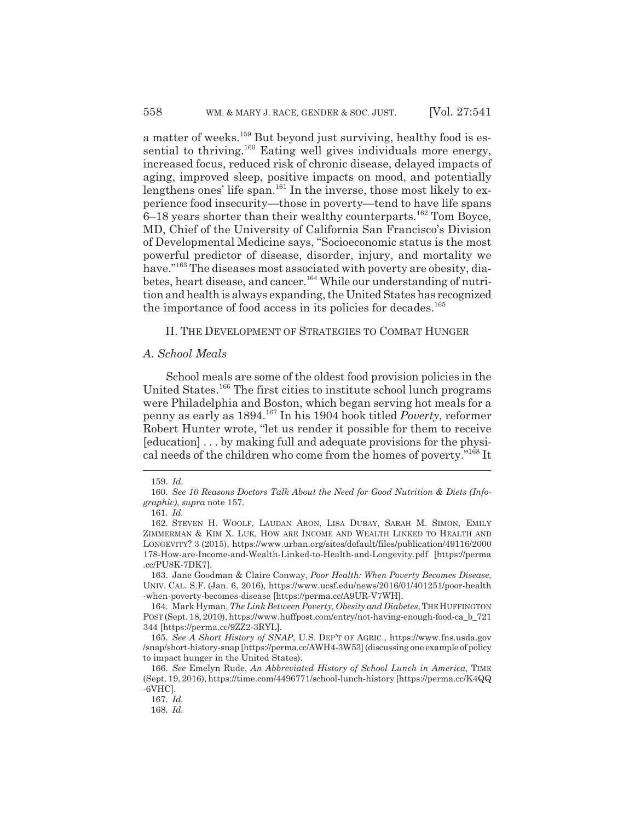a matter of weeks.<sup>159</sup> But beyond just surviving, healthy food is essential to thriving.<sup>160</sup> Eating well gives individuals more energy, increased focus, reduced risk of chronic disease, delayed impacts of aging, improved sleep, positive impacts on mood, and potentially lengthens ones' life span.<sup>161</sup> In the inverse, those most likely to experience food insecurity—those in poverty—tend to have life spans 6–18 years shorter than their wealthy counterparts.162 Tom Boyce, MD, Chief of the University of California San Francisco's Division of Developmental Medicine says, "Socioeconomic status is the most powerful predictor of disease, disorder, injury, and mortality we have."<sup>163</sup> The diseases most associated with poverty are obesity, diabetes, heart disease, and cancer.164 While our understanding of nutrition and health is always expanding, the United States has recognized the importance of food access in its policies for decades.<sup>165</sup>

## II. THE DEVELOPMENT OF STRATEGIES TO COMBAT HUNGER

## *A. School Meals*

School meals are some of the oldest food provision policies in the United States.<sup>166</sup> The first cities to institute school lunch programs were Philadelphia and Boston, which began serving hot meals for a penny as early as 1894.167 In his 1904 book titled *Poverty*, reformer Robert Hunter wrote, "let us render it possible for them to receive [education] . . . by making full and adequate provisions for the physical needs of the children who come from the homes of poverty."168 It

163. Jane Goodman & Claire Conway, *Poor Health: When Poverty Becomes Disease*, UNIV. CAL. S.F. (Jan. 6, 2016), https://www.ucsf.edu/news/2016/01/401251/poor-health -when-poverty-becomes-disease [https://perma.cc/A9UR-V7WH].

164. Mark Hyman, *The Link Between Poverty, Obesity and Diabetes*, THEHUFFINGTON POST (Sept. 18, 2010), https://www.huffpost.com/entry/not-having-enough-food-ca\_b\_721 344 [https://perma.cc/9ZZ2-3RYL].

165. *See A Short History of SNAP*, U.S. DEP'T OF AGRIC., https://www.fns.usda.gov /snap/short-history-snap [https://perma.cc/AWH4-3W53] (discussing one example of policy to impact hunger in the United States).

167. *Id.*

<sup>159.</sup> *Id.*

<sup>160.</sup> *See 10 Reasons Doctors Talk About the Need for Good Nutrition & Diets (Infographic)*, *supra* note 157.

<sup>161.</sup> *Id.*

<sup>162.</sup> STEVEN H. WOOLF, LAUDAN ARON, LISA DUBAY, SARAH M. SIMON, EMILY ZIMMERMAN & KIM X. LUK, HOW ARE INCOME AND WEALTH LINKED TO HEALTH AND LONGEVITY? 3 (2015), https://www.urban.org/sites/default/files/publication/49116/2000 178-How-are-Income-and-Wealth-Linked-to-Health-and-Longevity.pdf [https://perma .cc/PU8K-7DK7].

<sup>166.</sup> *See* Emelyn Rude, *An Abbreviated History of School Lunch in America*, TIME (Sept. 19, 2016), https://time.com/4496771/school-lunch-history [https://perma.cc/K4QQ -6VHC].

<sup>168.</sup> *Id.*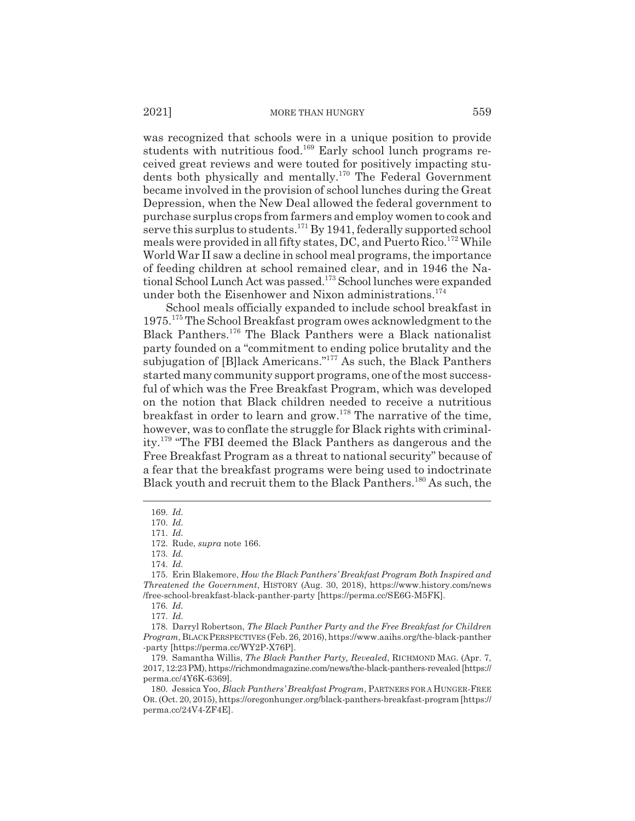was recognized that schools were in a unique position to provide students with nutritious food.<sup>169</sup> Early school lunch programs received great reviews and were touted for positively impacting students both physically and mentally.170 The Federal Government became involved in the provision of school lunches during the Great Depression, when the New Deal allowed the federal government to purchase surplus crops from farmers and employ women to cook and serve this surplus to students.<sup>171</sup> By 1941, federally supported school meals were provided in all fifty states, DC, and Puerto Rico.<sup>172</sup> While World War II saw a decline in school meal programs, the importance of feeding children at school remained clear, and in 1946 the National School Lunch Act was passed.173 School lunches were expanded under both the Eisenhower and Nixon administrations.<sup>174</sup>

School meals officially expanded to include school breakfast in 1975.175 The School Breakfast program owes acknowledgment to the Black Panthers.176 The Black Panthers were a Black nationalist party founded on a "commitment to ending police brutality and the subjugation of [B]lack Americans."<sup>177</sup> As such, the Black Panthers started many community support programs, one of the most successful of which was the Free Breakfast Program, which was developed on the notion that Black children needed to receive a nutritious breakfast in order to learn and grow.<sup>178</sup> The narrative of the time, however, was to conflate the struggle for Black rights with criminality.179 "The FBI deemed the Black Panthers as dangerous and the Free Breakfast Program as a threat to national security" because of a fear that the breakfast programs were being used to indoctrinate Black youth and recruit them to the Black Panthers.<sup>180</sup> As such, the

<sup>169.</sup> *Id.*

<sup>170.</sup> *Id.*

<sup>171.</sup> *Id.*

<sup>172.</sup> Rude, *supra* note 166.

<sup>173.</sup> *Id.*

<sup>174.</sup> *Id.*

<sup>175.</sup> Erin Blakemore, *How the Black Panthers' Breakfast Program Both Inspired and Threatened the Government*, HISTORY (Aug. 30, 2018), https://www.history.com/news /free-school-breakfast-black-panther-party [https://perma.cc/SE6G-M5FK].

<sup>176.</sup> *Id.*

<sup>177.</sup> *Id.*

<sup>178.</sup> Darryl Robertson, *The Black Panther Party and the Free Breakfast for Children Program*, BLACKPERSPECTIVES (Feb. 26, 2016), https://www.aaihs.org/the-black-panther -party [https://perma.cc/WY2P-X76P].

<sup>179.</sup> Samantha Willis, *The Black Panther Party, Revealed*, RICHMOND MAG. (Apr. 7, 2017, 12:23 PM), https://richmondmagazine.com/news/the-black-panthers-revealed [https:// perma.cc/4Y6K-6369].

<sup>180.</sup> Jessica Yoo, *Black Panthers' Breakfast Program*, PARTNERS FOR A HUNGER-FREE OR. (Oct. 20, 2015), https://oregonhunger.org/black-panthers-breakfast-program [https:// perma.cc/24V4-ZF4E].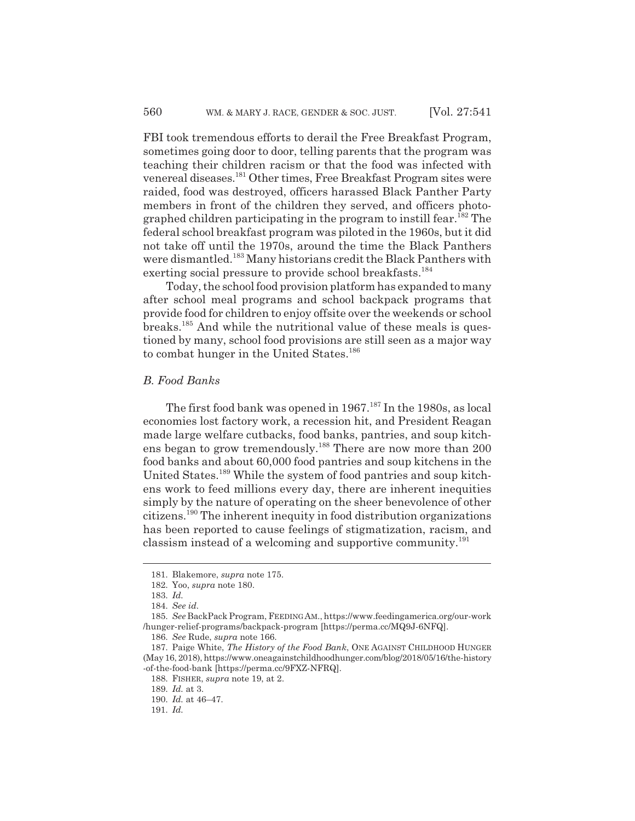FBI took tremendous efforts to derail the Free Breakfast Program, sometimes going door to door, telling parents that the program was teaching their children racism or that the food was infected with venereal diseases.181 Other times, Free Breakfast Program sites were raided, food was destroyed, officers harassed Black Panther Party members in front of the children they served, and officers photographed children participating in the program to instill fear.<sup>182</sup> The federal school breakfast program was piloted in the 1960s, but it did not take off until the 1970s, around the time the Black Panthers were dismantled.<sup>183</sup> Many historians credit the Black Panthers with exerting social pressure to provide school breakfasts.<sup>184</sup>

Today, the school food provision platform has expanded to many after school meal programs and school backpack programs that provide food for children to enjoy offsite over the weekends or school breaks.185 And while the nutritional value of these meals is questioned by many, school food provisions are still seen as a major way to combat hunger in the United States.<sup>186</sup>

#### *B. Food Banks*

The first food bank was opened in 1967.<sup>187</sup> In the 1980s, as local economies lost factory work, a recession hit, and President Reagan made large welfare cutbacks, food banks, pantries, and soup kitchens began to grow tremendously.<sup>188</sup> There are now more than 200 food banks and about 60,000 food pantries and soup kitchens in the United States.<sup>189</sup> While the system of food pantries and soup kitchens work to feed millions every day, there are inherent inequities simply by the nature of operating on the sheer benevolence of other citizens.190 The inherent inequity in food distribution organizations has been reported to cause feelings of stigmatization, racism, and classism instead of a welcoming and supportive community.<sup>191</sup>

<sup>181.</sup> Blakemore, *supra* note 175.

<sup>182.</sup> Yoo, *supra* note 180.

<sup>183.</sup> *Id.*

<sup>184.</sup> *See id.*

<sup>185.</sup> *See* BackPack Program, FEEDINGAM., https://www.feedingamerica.org/our-work /hunger-relief-programs/backpack-program [https://perma.cc/MQ9J-6NFQ].

<sup>186.</sup> *See* Rude, *supra* note 166.

<sup>187.</sup> Paige White, *The History of the Food Bank*, ONE AGAINST CHILDHOOD HUNGER (May 16, 2018), https://www.oneagainstchildhoodhunger.com/blog/2018/05/16/the-history -of-the-food-bank [https://perma.cc/9FXZ-NFRQ].

<sup>188.</sup> FISHER, *supra* note 19, at 2.

<sup>189.</sup> *Id.* at 3.

<sup>190.</sup> *Id.* at 46–47.

<sup>191.</sup> *Id.*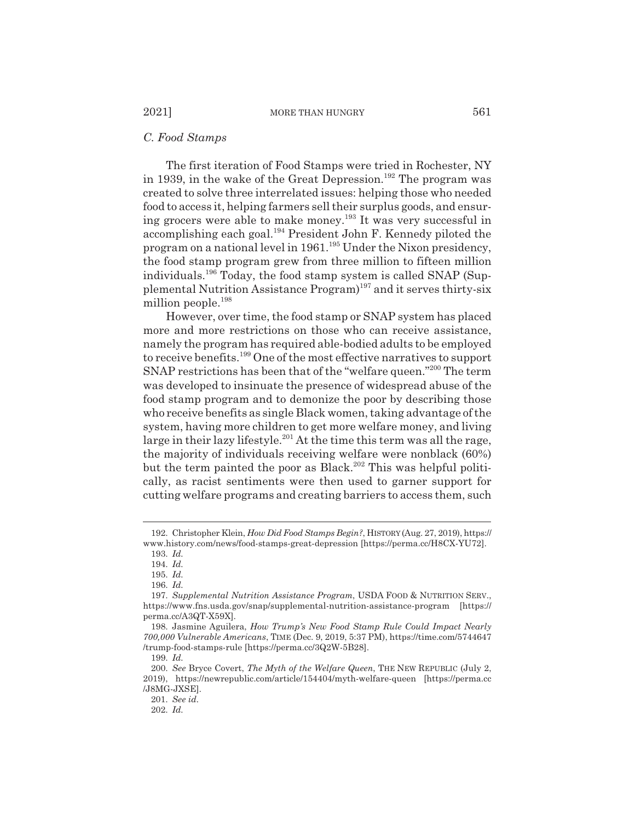#### *C. Food Stamps*

The first iteration of Food Stamps were tried in Rochester, NY in 1939, in the wake of the Great Depression.<sup>192</sup> The program was created to solve three interrelated issues: helping those who needed food to access it, helping farmers sell their surplus goods, and ensuring grocers were able to make money.193 It was very successful in accomplishing each goal.194 President John F. Kennedy piloted the program on a national level in 1961.195 Under the Nixon presidency, the food stamp program grew from three million to fifteen million individuals.196 Today, the food stamp system is called SNAP (Supplemental Nutrition Assistance  $Program)^{197}$  and it serves thirty-six million people.<sup>198</sup>

However, over time, the food stamp or SNAP system has placed more and more restrictions on those who can receive assistance, namely the program has required able-bodied adults to be employed to receive benefits.199 One of the most effective narratives to support SNAP restrictions has been that of the "welfare queen."<sup>200</sup> The term was developed to insinuate the presence of widespread abuse of the food stamp program and to demonize the poor by describing those who receive benefits as single Black women, taking advantage of the system, having more children to get more welfare money, and living large in their lazy lifestyle.<sup>201</sup> At the time this term was all the rage, the majority of individuals receiving welfare were nonblack (60%) but the term painted the poor as Black.<sup>202</sup> This was helpful politically, as racist sentiments were then used to garner support for cutting welfare programs and creating barriers to access them, such

199. *Id.*

201. *See id.*

<sup>192.</sup> Christopher Klein, *How Did Food Stamps Begin?*, HISTORY (Aug. 27, 2019), https:// www.history.com/news/food-stamps-great-depression [https://perma.cc/H8CX-YU72].

<sup>193.</sup> *Id.*

<sup>194.</sup> *Id.*

<sup>195.</sup> *Id.*

<sup>196.</sup> *Id.*

<sup>197.</sup> *Supplemental Nutrition Assistance Program*, USDA FOOD & NUTRITION SERV., https://www.fns.usda.gov/snap/supplemental-nutrition-assistance-program [https:// perma.cc/A3QT-X59X].

<sup>198.</sup> Jasmine Aguilera, *How Trump's New Food Stamp Rule Could Impact Nearly 700,000 Vulnerable Americans*, TIME (Dec. 9, 2019, 5:37 PM), https://time.com/5744647 /trump-food-stamps-rule [https://perma.cc/3Q2W-5B28].

<sup>200.</sup> *See* Bryce Covert, *The Myth of the Welfare Queen*, THE NEW REPUBLIC (July 2, 2019), https://newrepublic.com/article/154404/myth-welfare-queen [https://perma.cc /J8MG-JXSE].

<sup>202.</sup> *Id.*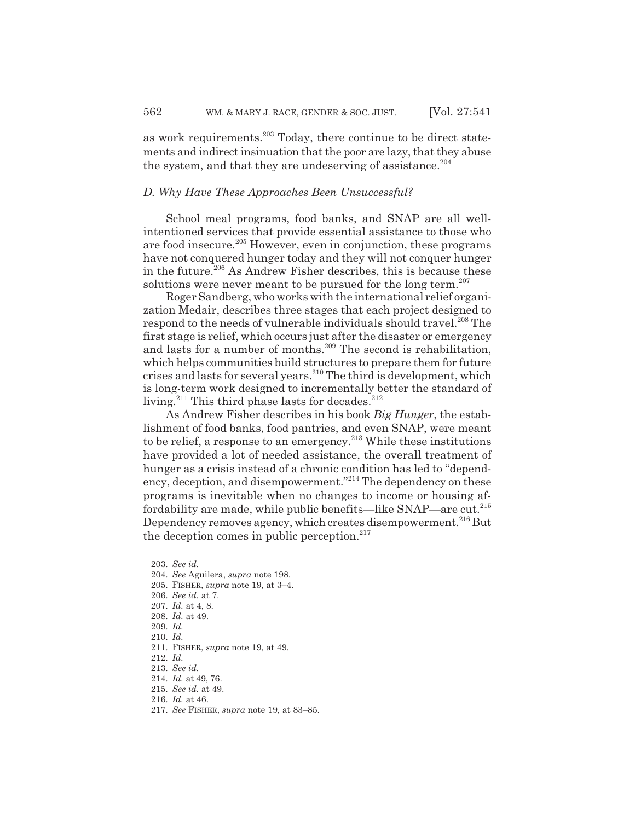as work requirements.<sup>203</sup> Today, there continue to be direct statements and indirect insinuation that the poor are lazy, that they abuse the system, and that they are undeserving of assistance.<sup>204</sup>

## *D. Why Have These Approaches Been Unsuccessful?*

School meal programs, food banks, and SNAP are all wellintentioned services that provide essential assistance to those who are food insecure.205 However, even in conjunction, these programs have not conquered hunger today and they will not conquer hunger in the future.<sup>206</sup> As Andrew Fisher describes, this is because these solutions were never meant to be pursued for the long term.<sup>207</sup>

Roger Sandberg, who works with the international relief organization Medair, describes three stages that each project designed to respond to the needs of vulnerable individuals should travel.<sup>208</sup> The first stage is relief, which occurs just after the disaster or emergency and lasts for a number of months.<sup>209</sup> The second is rehabilitation, which helps communities build structures to prepare them for future crises and lasts for several years.210 The third is development, which is long-term work designed to incrementally better the standard of living.<sup>211</sup> This third phase lasts for decades.<sup>212</sup>

As Andrew Fisher describes in his book *Big Hunger*, the establishment of food banks, food pantries, and even SNAP, were meant to be relief, a response to an emergency.<sup>213</sup> While these institutions have provided a lot of needed assistance, the overall treatment of hunger as a crisis instead of a chronic condition has led to "dependency, deception, and disempowerment."<sup>214</sup> The dependency on these programs is inevitable when no changes to income or housing affordability are made, while public benefits—like SNAP—are cut.215 Dependency removes agency, which creates disempowerment.<sup>216</sup> But the deception comes in public perception.<sup>217</sup>

212. *Id.*

- 215. *See id.* at 49.
- 216. *Id.* at 46.
- 217. *See* FISHER, *supra* note 19, at 83–85.

<sup>203.</sup> *See id.*

<sup>204.</sup> *See* Aguilera, *supra* note 198.

<sup>205.</sup> FISHER, *supra* note 19, at 3–4.

<sup>206.</sup> *See id.* at 7.

<sup>207.</sup> *Id.* at 4, 8.

<sup>208.</sup> *Id.* at 49.

<sup>209.</sup> *Id.*

<sup>210.</sup> *Id.*

<sup>211.</sup> FISHER, *supra* note 19, at 49.

<sup>213.</sup> *See id.*

<sup>214.</sup> *Id.* at 49, 76.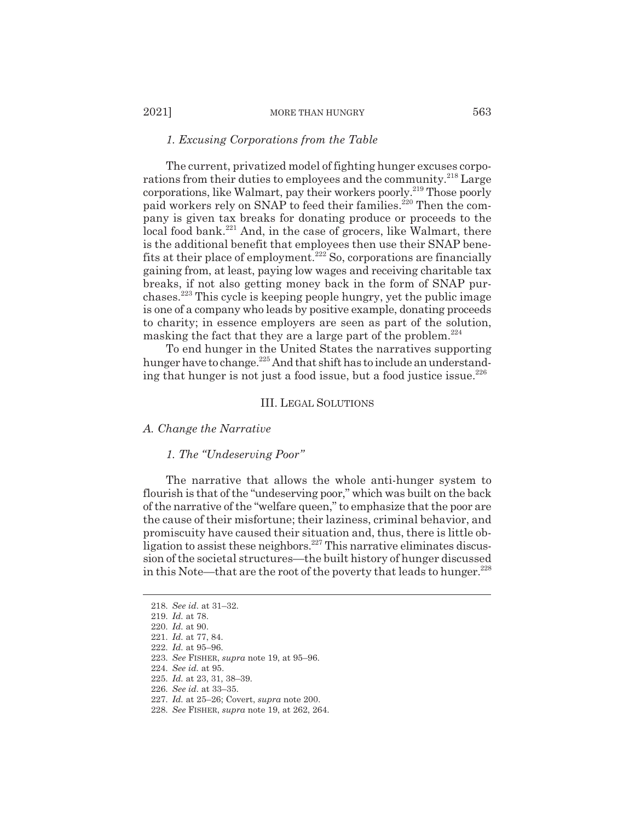#### 2021] MORE THAN HUNGRY 563

#### *1. Excusing Corporations from the Table*

The current, privatized model of fighting hunger excuses corporations from their duties to employees and the community.<sup>218</sup> Large corporations, like Walmart, pay their workers poorly.<sup>219</sup> Those poorly paid workers rely on SNAP to feed their families.<sup>220</sup> Then the company is given tax breaks for donating produce or proceeds to the local food bank.<sup>221</sup> And, in the case of grocers, like Walmart, there is the additional benefit that employees then use their SNAP benefits at their place of employment.<sup>222</sup> So, corporations are financially gaining from, at least, paying low wages and receiving charitable tax breaks, if not also getting money back in the form of SNAP purchases.223 This cycle is keeping people hungry, yet the public image is one of a company who leads by positive example, donating proceeds to charity; in essence employers are seen as part of the solution, masking the fact that they are a large part of the problem. $^{224}$ 

To end hunger in the United States the narratives supporting hunger have to change.<sup>225</sup> And that shift has to include an understanding that hunger is not just a food issue, but a food justice issue. $^{226}$ 

#### III. LEGAL SOLUTIONS

*A. Change the Narrative*

#### *1. The "Undeserving Poor"*

The narrative that allows the whole anti-hunger system to flourish is that of the "undeserving poor," which was built on the back of the narrative of the "welfare queen," to emphasize that the poor are the cause of their misfortune; their laziness, criminal behavior, and promiscuity have caused their situation and, thus, there is little obligation to assist these neighbors.<sup>227</sup> This narrative eliminates discussion of the societal structures—the built history of hunger discussed in this Note—that are the root of the poverty that leads to hunger.<sup>228</sup>

<sup>218.</sup> *See id.* at 31–32.

<sup>219.</sup> *Id.* at 78.

<sup>220.</sup> *Id.* at 90.

<sup>221.</sup> *Id.* at 77, 84.

<sup>222.</sup> *Id.* at 95–96.

<sup>223.</sup> *See* FISHER, *supra* note 19, at 95–96.

<sup>224.</sup> *See id.* at 95.

<sup>225.</sup> *Id.* at 23, 31, 38–39.

<sup>226.</sup> *See id.* at 33–35.

<sup>227.</sup> *Id.* at 25–26; Covert, *supra* note 200.

<sup>228.</sup> *See* FISHER, *supra* note 19, at 262, 264.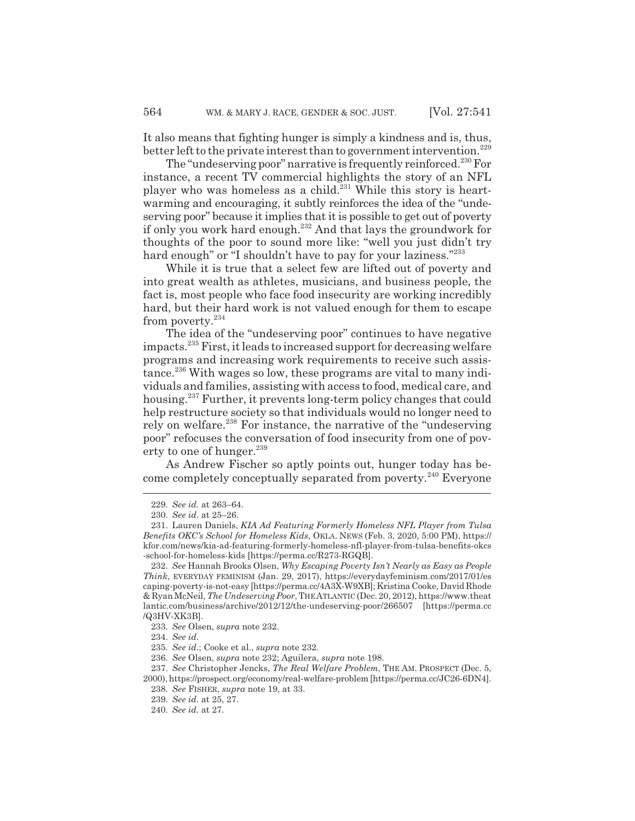It also means that fighting hunger is simply a kindness and is, thus, better left to the private interest than to government intervention.<sup>229</sup>

The "undeserving poor" narrative is frequently reinforced.<sup>230</sup> For instance, a recent TV commercial highlights the story of an NFL player who was homeless as a child.<sup>231</sup> While this story is heartwarming and encouraging, it subtly reinforces the idea of the "undeserving poor" because it implies that it is possible to get out of poverty if only you work hard enough.232 And that lays the groundwork for thoughts of the poor to sound more like: "well you just didn't try hard enough" or "I shouldn't have to pay for your laziness."<sup>233</sup>

While it is true that a select few are lifted out of poverty and into great wealth as athletes, musicians, and business people, the fact is, most people who face food insecurity are working incredibly hard, but their hard work is not valued enough for them to escape from poverty.<sup>234</sup>

The idea of the "undeserving poor" continues to have negative impacts.235 First, it leads to increased support for decreasing welfare programs and increasing work requirements to receive such assistance.<sup>236</sup> With wages so low, these programs are vital to many individuals and families, assisting with access to food, medical care, and housing.237 Further, it prevents long-term policy changes that could help restructure society so that individuals would no longer need to rely on welfare.238 For instance, the narrative of the "undeserving poor" refocuses the conversation of food insecurity from one of poverty to one of hunger. $^{239}$ 

As Andrew Fischer so aptly points out, hunger today has become completely conceptually separated from poverty.<sup>240</sup> Everyone

<sup>229.</sup> *See id.* at 263–64.

<sup>230.</sup> *See id.* at 25–26.

<sup>231.</sup> Lauren Daniels, *KIA Ad Featuring Formerly Homeless NFL Player from Tulsa Benefits OKC's School for Homeless Kids*, OKLA. NEWS (Feb. 3, 2020, 5:00 PM), https:// kfor.com/news/kia-ad-featuring-formerly-homeless-nfl-player-from-tulsa-benefits-okcs -school-for-homeless-kids [https://perma.cc/R273-RGQB].

<sup>232.</sup> *See* Hannah Brooks Olsen, *Why Escaping Poverty Isn't Nearly as Easy as People Think*, EVERYDAY FEMINISM (Jan. 29, 2017), https://everydayfeminism.com/2017/01/es caping-poverty-is-not-easy [https://perma.cc/4A3X-W9XB]; Kristina Cooke, David Rhode & Ryan McNeil, *The Undeserving Poor*, THEATLANTIC (Dec. 20, 2012), https://www.theat lantic.com/business/archive/2012/12/the-undeserving-poor/266507 [https://perma.cc /Q3HV-XK3B].

<sup>233.</sup> *See* Olsen, *supra* note 232.

<sup>234.</sup> *See id.*

<sup>235.</sup> *See id.*; Cooke et al., *supra* note 232.

<sup>236.</sup> *See* Olsen, *supra* note 232; Aguilera, *supra* note 198.

<sup>237.</sup> *See* Christopher Jencks, *The Real Welfare Problem*, THE AM. PROSPECT (Dec. 5, 2000), https://prospect.org/economy/real-welfare-problem [https://perma.cc/JC26-6DN4].

<sup>238.</sup> *See* FISHER, *supra* note 19, at 33.

<sup>239.</sup> *See id.* at 25, 27.

<sup>240.</sup> *See id.* at 27.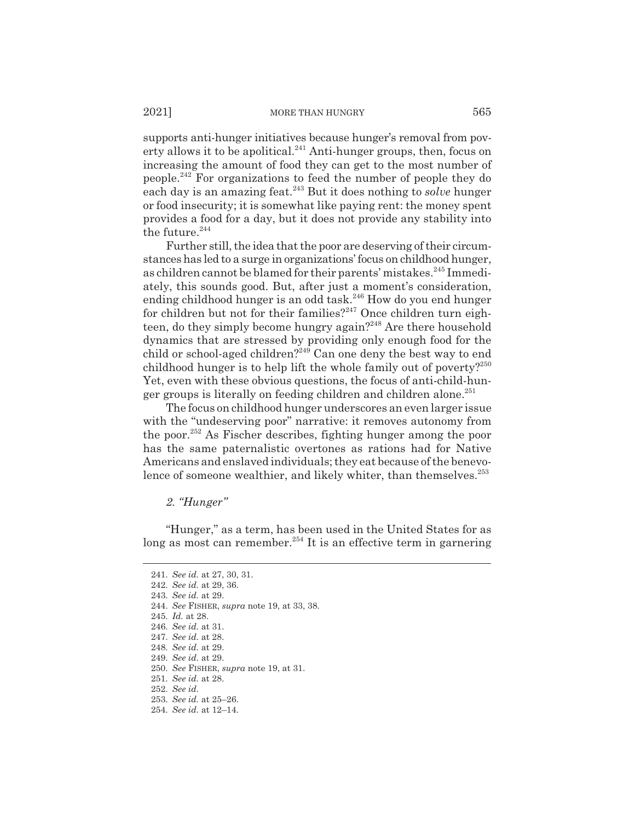supports anti-hunger initiatives because hunger's removal from poverty allows it to be apolitical.<sup>241</sup> Anti-hunger groups, then, focus on increasing the amount of food they can get to the most number of people.242 For organizations to feed the number of people they do each day is an amazing feat.243 But it does nothing to *solve* hunger or food insecurity; it is somewhat like paying rent: the money spent provides a food for a day, but it does not provide any stability into the future. $244$ 

Further still, the idea that the poor are deserving of their circumstances has led to a surge in organizations' focus on childhood hunger, as children cannot be blamed for their parents' mistakes.<sup>245</sup> Immediately, this sounds good. But, after just a moment's consideration, ending childhood hunger is an odd task.<sup>246</sup> How do you end hunger for children but not for their families?<sup>247</sup> Once children turn eighteen, do they simply become hungry again?<sup>248</sup> Are there household dynamics that are stressed by providing only enough food for the child or school-aged children?<sup>249</sup> Can one deny the best way to end childhood hunger is to help lift the whole family out of poverty?<sup>250</sup> Yet, even with these obvious questions, the focus of anti-child-hunger groups is literally on feeding children and children alone.<sup>251</sup>

The focus on childhood hunger underscores an even larger issue with the "undeserving poor" narrative: it removes autonomy from the poor.252 As Fischer describes, fighting hunger among the poor has the same paternalistic overtones as rations had for Native Americans and enslaved individuals; they eat because of the benevolence of someone wealthier, and likely whiter, than themselves.<sup>253</sup>

*2. "Hunger"*

"Hunger," as a term, has been used in the United States for as long as most can remember.<sup>254</sup> It is an effective term in garnering

244. *See* FISHER, *supra* note 19, at 33, 38.

<sup>241.</sup> *See id.* at 27, 30, 31.

<sup>242.</sup> *See id.* at 29, 36.

<sup>243.</sup> *See id.* at 29.

<sup>245.</sup> *Id.* at 28.

<sup>246.</sup> *See id.* at 31.

<sup>247.</sup> *See id.* at 28.

<sup>248.</sup> *See id.* at 29.

<sup>249.</sup> *See id.* at 29.

<sup>250.</sup> *See* FISHER, *supra* note 19, at 31.

<sup>251.</sup> *See id.* at 28.

<sup>252.</sup> *See id.*

<sup>253.</sup> *See id.* at 25–26.

<sup>254.</sup> *See id.* at 12–14.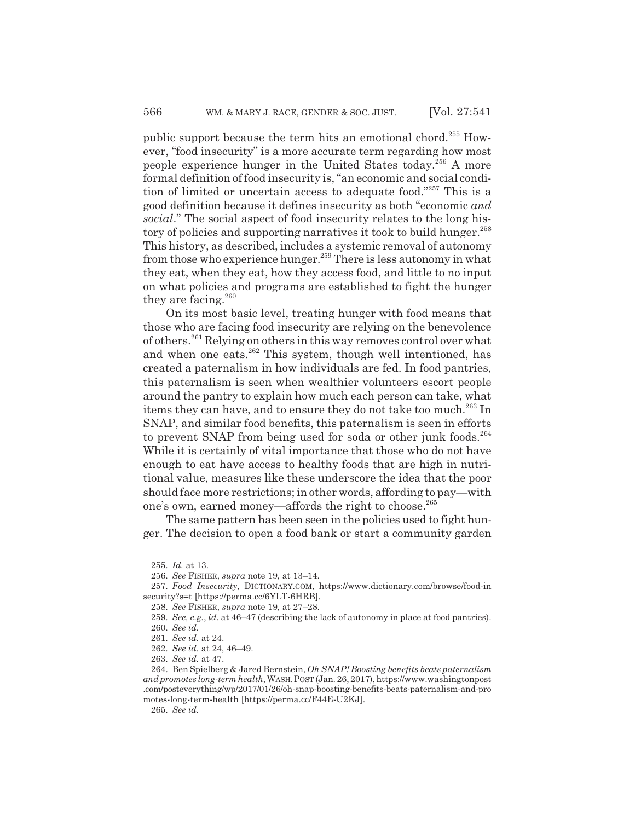public support because the term hits an emotional chord.255 However, "food insecurity" is a more accurate term regarding how most people experience hunger in the United States today.256 A more formal definition of food insecurity is, "an economic and social condition of limited or uncertain access to adequate food."257 This is a good definition because it defines insecurity as both "economic *and social*." The social aspect of food insecurity relates to the long history of policies and supporting narratives it took to build hunger.<sup>258</sup> This history, as described, includes a systemic removal of autonomy from those who experience hunger.<sup>259</sup> There is less autonomy in what they eat, when they eat, how they access food, and little to no input on what policies and programs are established to fight the hunger they are facing.260

On its most basic level, treating hunger with food means that those who are facing food insecurity are relying on the benevolence of others.261 Relying on others in this way removes control over what and when one eats.<sup>262</sup> This system, though well intentioned, has created a paternalism in how individuals are fed. In food pantries, this paternalism is seen when wealthier volunteers escort people around the pantry to explain how much each person can take, what items they can have, and to ensure they do not take too much.<sup>263</sup> In SNAP, and similar food benefits, this paternalism is seen in efforts to prevent SNAP from being used for soda or other junk foods.<sup>264</sup> While it is certainly of vital importance that those who do not have enough to eat have access to healthy foods that are high in nutritional value, measures like these underscore the idea that the poor should face more restrictions; in other words, affording to pay—with one's own, earned money—affords the right to choose.<sup>265</sup>

The same pattern has been seen in the policies used to fight hunger. The decision to open a food bank or start a community garden

<sup>255.</sup> *Id.* at 13.

<sup>256.</sup> *See* FISHER, *supra* note 19, at 13–14.

<sup>257.</sup> *Food Insecurity*, DICTIONARY.COM, https://www.dictionary.com/browse/food-in security?s=t [https://perma.cc/6YLT-6HRB].

<sup>258.</sup> *See* FISHER, *supra* note 19, at 27–28.

<sup>259.</sup> *See, e.g.*, *id.* at 46–47 (describing the lack of autonomy in place at food pantries). 260. *See id.*

<sup>261.</sup> *See id.* at 24.

<sup>262.</sup> *See id.* at 24, 46–49.

<sup>263.</sup> *See id.* at 47.

<sup>264.</sup> Ben Spielberg & Jared Bernstein, *Oh SNAP! Boosting benefits beats paternalism and promotes long-term health*, WASH.POST (Jan. 26, 2017), https://www.washingtonpost .com/posteverything/wp/2017/01/26/oh-snap-boosting-benefits-beats-paternalism-and-pro motes-long-term-health [https://perma.cc/F44E-U2KJ].

<sup>265.</sup> *See id.*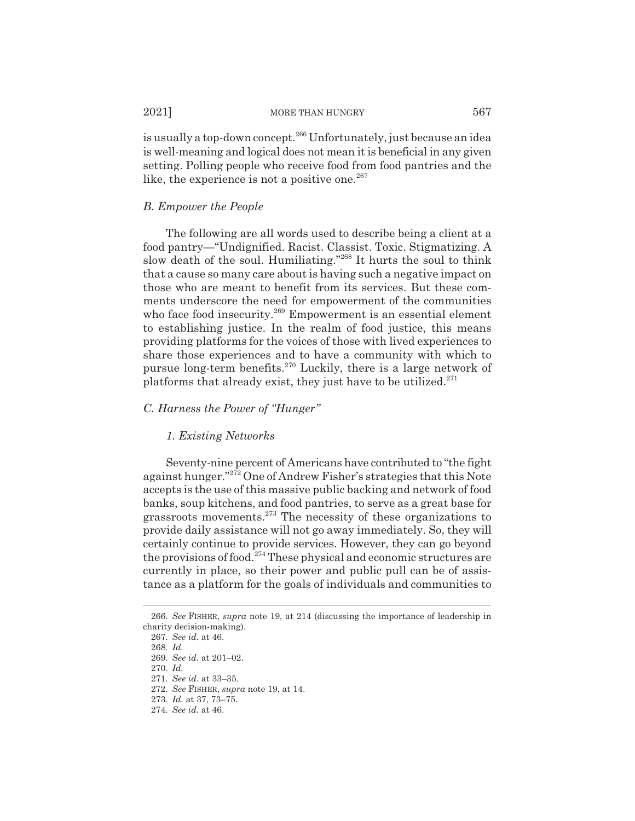is usually a top-down concept.<sup>266</sup> Unfortunately, just because an idea is well-meaning and logical does not mean it is beneficial in any given setting. Polling people who receive food from food pantries and the like, the experience is not a positive one. $267$ 

#### *B. Empower the People*

The following are all words used to describe being a client at a food pantry—"Undignified. Racist. Classist. Toxic. Stigmatizing. A slow death of the soul. Humiliating."268 It hurts the soul to think that a cause so many care about is having such a negative impact on those who are meant to benefit from its services. But these comments underscore the need for empowerment of the communities who face food insecurity.<sup>269</sup> Empowerment is an essential element to establishing justice. In the realm of food justice, this means providing platforms for the voices of those with lived experiences to share those experiences and to have a community with which to pursue long-term benefits.270 Luckily, there is a large network of platforms that already exist, they just have to be utilized. $271$ 

#### *C. Harness the Power of "Hunger"*

#### *1. Existing Networks*

Seventy-nine percent of Americans have contributed to "the fight against hunger."272 One of Andrew Fisher's strategies that this Note accepts is the use of this massive public backing and network of food banks, soup kitchens, and food pantries, to serve as a great base for grassroots movements.273 The necessity of these organizations to provide daily assistance will not go away immediately. So, they will certainly continue to provide services. However, they can go beyond the provisions of food.274 These physical and economic structures are currently in place, so their power and public pull can be of assistance as a platform for the goals of individuals and communities to

<sup>266.</sup> *See* FISHER, *supra* note 19, at 214 (discussing the importance of leadership in charity decision-making).

<sup>267.</sup> *See id.* at 46.

<sup>268.</sup> *Id.*

<sup>269.</sup> *See id.* at 201–02.

<sup>270.</sup> *Id.*

<sup>271.</sup> *See id.* at 33–35.

<sup>272.</sup> *See* FISHER, *supra* note 19, at 14.

<sup>273.</sup> *Id.* at 37, 73–75.

<sup>274.</sup> *See id.* at 46.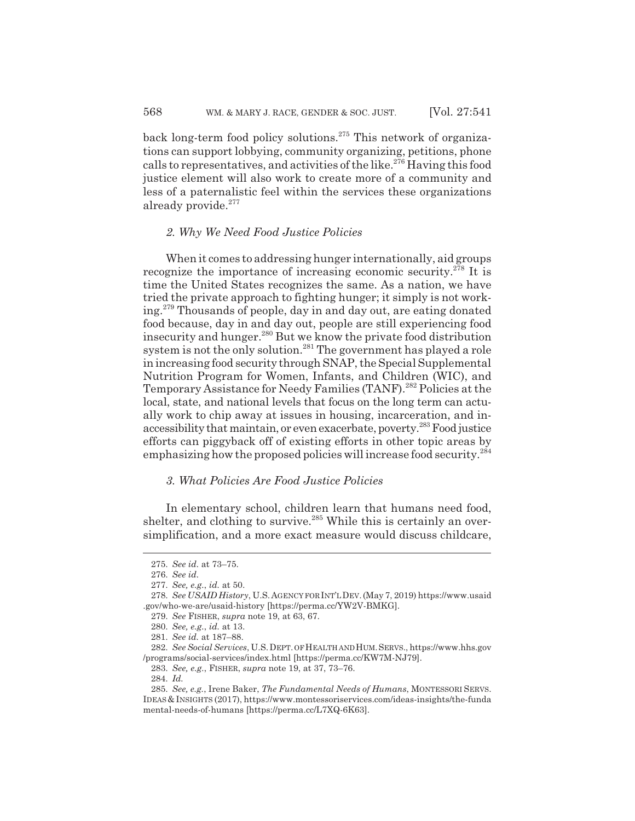back long-term food policy solutions.275 This network of organizations can support lobbying, community organizing, petitions, phone calls to representatives, and activities of the like.<sup>276</sup> Having this food justice element will also work to create more of a community and less of a paternalistic feel within the services these organizations already provide.<sup>277</sup>

#### *2. Why We Need Food Justice Policies*

When it comes to addressing hunger internationally, aid groups recognize the importance of increasing economic security.<sup>278</sup> It is time the United States recognizes the same. As a nation, we have tried the private approach to fighting hunger; it simply is not working.279 Thousands of people, day in and day out, are eating donated food because, day in and day out, people are still experiencing food insecurity and hunger.280 But we know the private food distribution system is not the only solution.<sup>281</sup> The government has played a role in increasing food security through SNAP, the Special Supplemental Nutrition Program for Women, Infants, and Children (WIC), and Temporary Assistance for Needy Families (TANF).<sup>282</sup> Policies at the local, state, and national levels that focus on the long term can actually work to chip away at issues in housing, incarceration, and inaccessibility that maintain, or even exacerbate, poverty.283 Food justice efforts can piggyback off of existing efforts in other topic areas by emphasizing how the proposed policies will increase food security.<sup>284</sup>

## *3. What Policies Are Food Justice Policies*

In elementary school, children learn that humans need food, shelter, and clothing to survive.<sup>285</sup> While this is certainly an oversimplification, and a more exact measure would discuss childcare,

283. *See, e.g.*, FISHER, *supra* note 19, at 37, 73–76.

<sup>275.</sup> *See id.* at 73–75.

<sup>276.</sup> *See id.*

<sup>277.</sup> *See, e.g.*, *id.* at 50.

<sup>278.</sup> *See USAID History*, U.S.AGENCY FOR INT'LDEV.(May 7, 2019) https://www.usaid .gov/who-we-are/usaid-history [https://perma.cc/YW2V-BMKG].

<sup>279.</sup> *See* FISHER, *supra* note 19, at 63, 67.

<sup>280.</sup> *See, e.g.*, *id.* at 13.

<sup>281.</sup> *See id.* at 187–88.

<sup>282.</sup> *See Social Services*, U.S.DEPT. OF HEALTH AND HUM.SERVS., https://www.hhs.gov /programs/social-services/index.html [https://perma.cc/KW7M-NJ79].

<sup>284.</sup> *Id.*

<sup>285.</sup> *See, e.g.*, Irene Baker, *The Fundamental Needs of Humans*, MONTESSORI SERVS. IDEAS&INSIGHTS (2017), https://www.montessoriservices.com/ideas-insights/the-funda mental-needs-of-humans [https://perma.cc/L7XQ-6K63].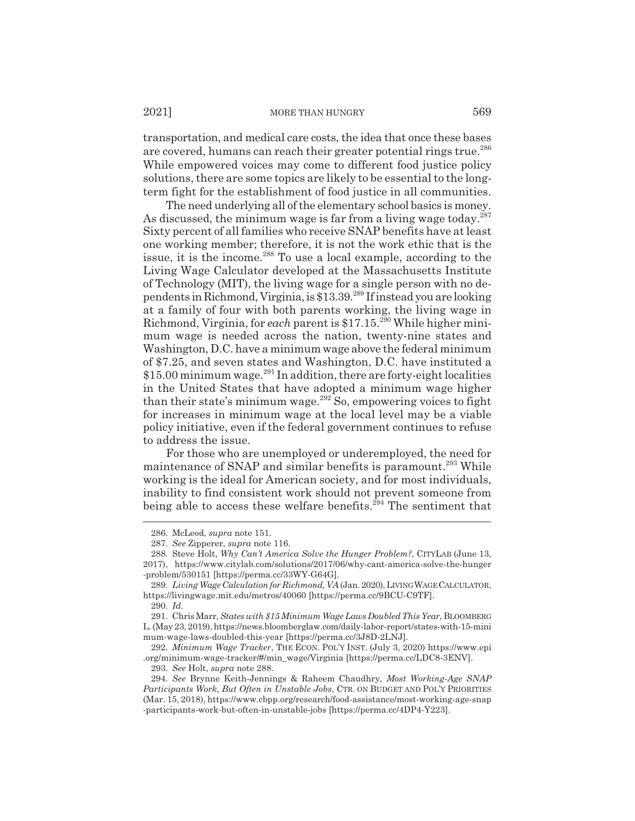transportation, and medical care costs, the idea that once these bases are covered, humans can reach their greater potential rings true.<sup>286</sup> While empowered voices may come to different food justice policy solutions, there are some topics are likely to be essential to the longterm fight for the establishment of food justice in all communities.

The need underlying all of the elementary school basics is money. As discussed, the minimum wage is far from a living wage today. $287$ Sixty percent of all families who receive SNAP benefits have at least one working member; therefore, it is not the work ethic that is the issue, it is the income.288 To use a local example, according to the Living Wage Calculator developed at the Massachusetts Institute of Technology (MIT), the living wage for a single person with no dependents in Richmond, Virginia, is \$13.39.289 If instead you are looking at a family of four with both parents working, the living wage in Richmond, Virginia, for *each* parent is \$17.15<sup>290</sup> While higher minimum wage is needed across the nation, twenty-nine states and Washington, D.C. have a minimum wage above the federal minimum of \$7.25, and seven states and Washington, D.C. have instituted a  $$15.00$  minimum wage.<sup>291</sup> In addition, there are forty-eight localities in the United States that have adopted a minimum wage higher than their state's minimum wage. $292$  So, empowering voices to fight for increases in minimum wage at the local level may be a viable policy initiative, even if the federal government continues to refuse to address the issue.

For those who are unemployed or underemployed, the need for maintenance of SNAP and similar benefits is paramount.<sup>293</sup> While working is the ideal for American society, and for most individuals, inability to find consistent work should not prevent someone from being able to access these welfare benefits.<sup> $294$ </sup> The sentiment that

<sup>286.</sup> McLeod, *supra* note 151.

<sup>287.</sup> *See* Zipperer, *supra* note 116.

<sup>288.</sup> Steve Holt, *Why Can't America Solve the Hunger Problem?*, CITYLAB (June 13, 2017), https://www.citylab.com/solutions/2017/06/why-cant-america-solve-the-hunger -problem/530151 [https://perma.cc/33WY-G64G].

<sup>289.</sup> *Living Wage Calculation for Richmond, VA* (Jan. 2020), LIVINGWAGECALCULATOR, https://livingwage.mit.edu/metros/40060 [https://perma.cc/9BCU-C9TF].

<sup>290.</sup> *Id.*

<sup>291.</sup> Chris Marr, *States with \$15 Minimum Wage Laws Doubled This Year*, BLOOMBERG L. (May 23, 2019), https://news.bloomberglaw.com/daily-labor-report/states-with-15-mini mum-wage-laws-doubled-this-year [https://perma.cc/3J8D-2LNJ].

<sup>292.</sup> *Minimum Wage Tracker*, THE ECON. POL'Y INST. (July 3, 2020) https://www.epi .org/minimum-wage-tracker/#/min\_wage/Virginia [https://perma.cc/LDC8-3ENV].

<sup>293.</sup> *See* Holt, *supra* note 288.

<sup>294.</sup> *See* Brynne Keith-Jennings & Raheem Chaudhry, *Most Working-Age SNAP Participants Work, But Often in Unstable Jobs*, CTR. ON BUDGET AND POL'Y PRIORITIES (Mar. 15, 2018), https://www.cbpp.org/research/food-assistance/most-working-age-snap -participants-work-but-often-in-unstable-jobs [https://perma.cc/4DP4-Y223].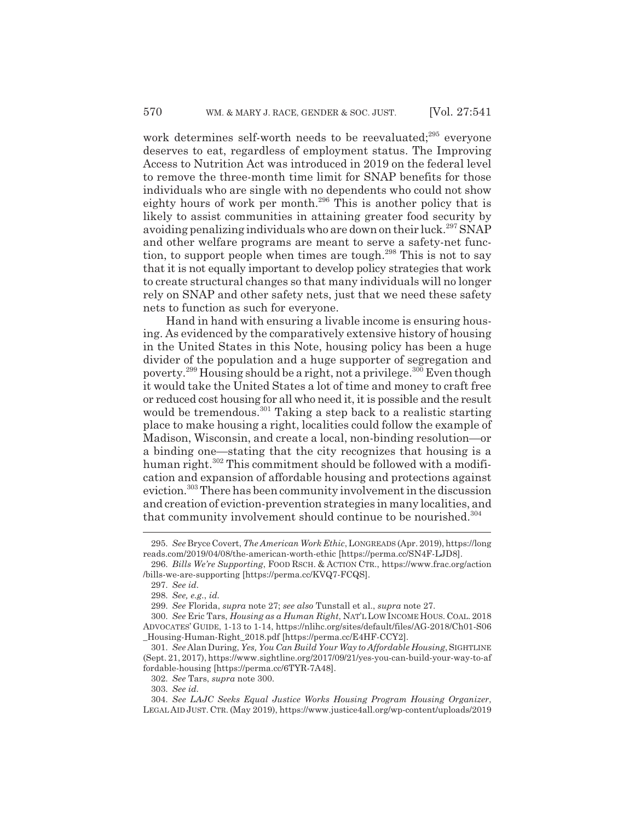work determines self-worth needs to be reevaluated;<sup>295</sup> everyone deserves to eat, regardless of employment status. The Improving Access to Nutrition Act was introduced in 2019 on the federal level to remove the three-month time limit for SNAP benefits for those individuals who are single with no dependents who could not show eighty hours of work per month.<sup>296</sup> This is another policy that is likely to assist communities in attaining greater food security by avoiding penalizing individuals who are down on their luck.<sup>297</sup> SNAP and other welfare programs are meant to serve a safety-net function, to support people when times are tough.298 This is not to say that it is not equally important to develop policy strategies that work to create structural changes so that many individuals will no longer rely on SNAP and other safety nets, just that we need these safety nets to function as such for everyone.

Hand in hand with ensuring a livable income is ensuring housing. As evidenced by the comparatively extensive history of housing in the United States in this Note, housing policy has been a huge divider of the population and a huge supporter of segregation and poverty.299 Housing should be a right, not a privilege.300 Even though it would take the United States a lot of time and money to craft free or reduced cost housing for all who need it, it is possible and the result would be tremendous.<sup>301</sup> Taking a step back to a realistic starting place to make housing a right, localities could follow the example of Madison, Wisconsin, and create a local, non-binding resolution—or a binding one—stating that the city recognizes that housing is a human right.<sup>302</sup> This commitment should be followed with a modification and expansion of affordable housing and protections against eviction.<sup>303</sup> There has been community involvement in the discussion and creation of eviction-prevention strategies in many localities, and that community involvement should continue to be nourished.<sup>304</sup>

<sup>295.</sup> *See* Bryce Covert, *The American Work Ethic*, LONGREADS (Apr. 2019), https://long reads.com/2019/04/08/the-american-worth-ethic [https://perma.cc/SN4F-LJD8].

<sup>296.</sup> *Bills We're Supporting*, FOOD RSCH.&ACTION CTR., https://www.frac.org/action /bills-we-are-supporting [https://perma.cc/KVQ7-FCQS].

<sup>297.</sup> *See id.*

<sup>298.</sup> *See, e.g.*, *id.*

<sup>299.</sup> *See* Florida, *supra* note 27; *see also* Tunstall et al., *supra* note 27.

<sup>300.</sup> *See* Eric Tars, *Housing as a Human Right*, NAT'L LOW INCOME HOUS. COAL. 2018 ADVOCATES' GUIDE, 1-13 to 1-14, https://nlihc.org/sites/default/files/AG-2018/Ch01-S06 \_Housing-Human-Right\_2018.pdf [https://perma.cc/E4HF-CCY2].

<sup>301.</sup> *See* Alan During, *Yes, You Can Build Your Way to Affordable Housing*, SIGHTLINE (Sept. 21, 2017), https://www.sightline.org/2017/09/21/yes-you-can-build-your-way-to-af fordable-housing [https://perma.cc/6TYR-7A48].

<sup>302.</sup> *See* Tars, *supra* note 300.

<sup>303.</sup> *See id.*

<sup>304.</sup> *See LAJC Seeks Equal Justice Works Housing Program Housing Organizer*, LEGAL AID JUST. CTR. (May 2019), https://www.justice4all.org/wp-content/uploads/2019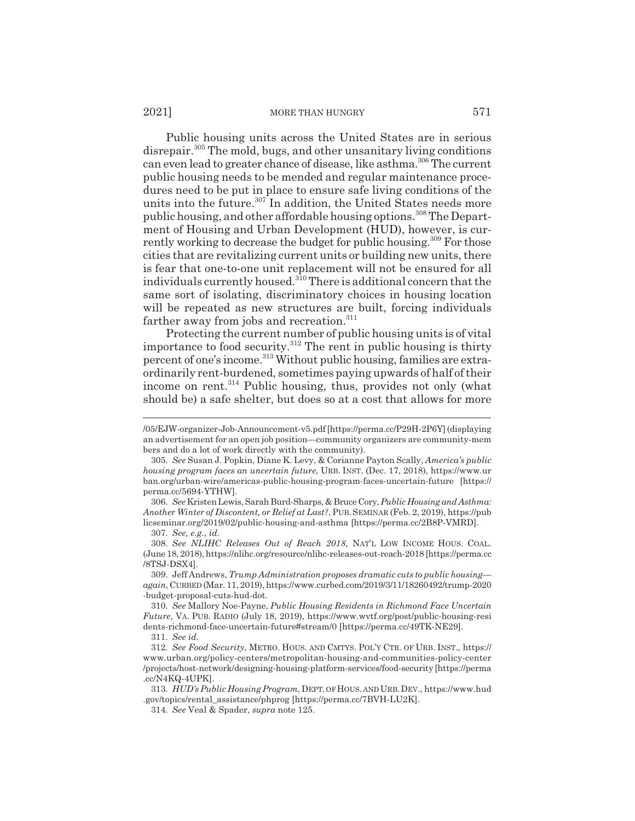#### 2021] MORE THAN HUNGRY 571

Public housing units across the United States are in serious disrepair.<sup>305</sup> The mold, bugs, and other unsanitary living conditions can even lead to greater chance of disease, like asthma.<sup>306</sup> The current public housing needs to be mended and regular maintenance procedures need to be put in place to ensure safe living conditions of the units into the future.<sup>307</sup> In addition, the United States needs more public housing, and other affordable housing options.<sup>308</sup> The Department of Housing and Urban Development (HUD), however, is currently working to decrease the budget for public housing.<sup>309</sup> For those cities that are revitalizing current units or building new units, there is fear that one-to-one unit replacement will not be ensured for all individuals currently housed.<sup>310</sup> There is additional concern that the same sort of isolating, discriminatory choices in housing location will be repeated as new structures are built, forcing individuals farther away from jobs and recreation.<sup>311</sup>

Protecting the current number of public housing units is of vital importance to food security.<sup>312</sup> The rent in public housing is thirty percent of one's income.313 Without public housing, families are extraordinarily rent-burdened, sometimes paying upwards of half of their income on rent.<sup>314</sup> Public housing, thus, provides not only (what should be) a safe shelter, but does so at a cost that allows for more

306. *See* Kristen Lewis, Sarah Burd-Sharps, & Bruce Cory, *Public Housing and Asthma: Another Winter of Discontent, or Relief at Last?*, PUB.SEMINAR (Feb. 2, 2019), https://pub licseminar.org/2019/02/public-housing-and-asthma [https://perma.cc/2B8P-VMRD].

311. *See id.*

<sup>/05/</sup>EJW-organizer-Job-Announcement-v5.pdf [https://perma.cc/P29H-2P6Y] (displaying an advertisement for an open job position—community organizers are community-mem bers and do a lot of work directly with the community).

<sup>305.</sup> *See* Susan J. Popkin, Diane K. Levy, & Corianne Payton Scally, *America's public housing program faces an uncertain future*, URB. INST. (Dec. 17, 2018), https://www.ur ban.org/urban-wire/americas-public-housing-program-faces-uncertain-future [https:// perma.cc/5694-YTHW].

<sup>307.</sup> *See, e.g.*, *id.*

<sup>308.</sup> *See NLIHC Releases Out of Reach 2018*, NAT'L LOW INCOME HOUS. COAL. (June 18, 2018), https://nlihc.org/resource/nlihc-releases-out-reach-2018 [https://perma.cc /8TSJ-DSX4].

<sup>309.</sup> Jeff Andrews, *Trump Administration proposes dramatic cuts to public housing again*, CURBED (Mar. 11, 2019), https://www.curbed.com/2019/3/11/18260492/trump-2020 -budget-proposal-cuts-hud-dot.

<sup>310.</sup> *See* Mallory Noe-Payne, *Public Housing Residents in Richmond Face Uncertain Future*, VA. PUB. RADIO (July 18, 2019), https://www.wvtf.org/post/public-housing-resi dents-richmond-face-uncertain-future#stream/0 [https://perma.cc/49TK-NE29].

<sup>312.</sup> *See Food Security*, METRO. HOUS. AND CMTYS. POL'Y CTR. OF URB. INST., https:// www.urban.org/policy-centers/metropolitan-housing-and-communities-policy-center /projects/host-network/designing-housing-platform-services/food-security [https://perma .cc/N4KQ-4UPK].

<sup>313.</sup> *HUD's Public Housing Program*, DEPT. OF HOUS. AND URB.DEV., https://www.hud .gov/topics/rental\_assistance/phprog [https://perma.cc/7BVH-LU2K].

<sup>314.</sup> *See* Veal & Spader, *supra* note 125.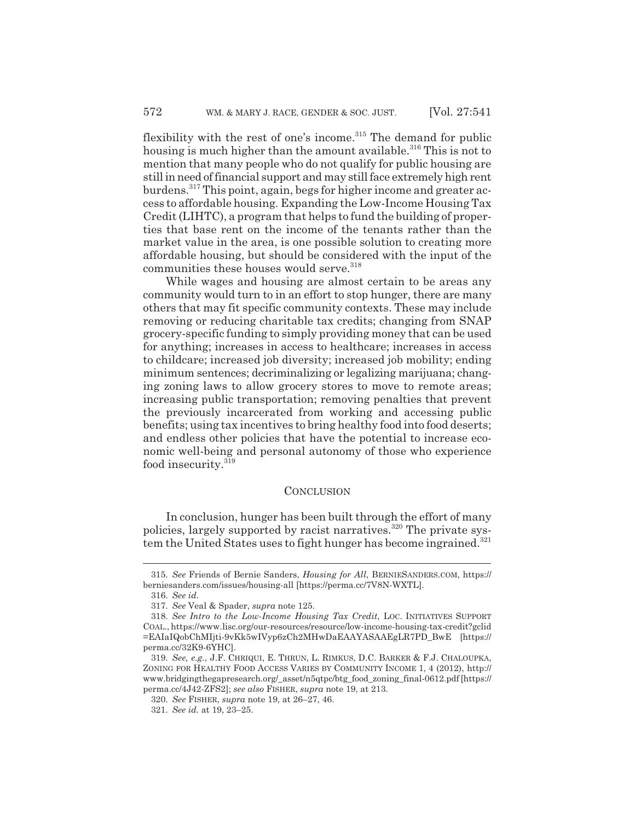flexibility with the rest of one's income. $315$  The demand for public housing is much higher than the amount available.<sup>316</sup> This is not to mention that many people who do not qualify for public housing are still in need of financial support and may still face extremely high rent burdens.317 This point, again, begs for higher income and greater access to affordable housing. Expanding the Low-Income Housing Tax Credit (LIHTC), a program that helps to fund the building of properties that base rent on the income of the tenants rather than the market value in the area, is one possible solution to creating more affordable housing, but should be considered with the input of the communities these houses would serve.<sup>318</sup>

While wages and housing are almost certain to be areas any community would turn to in an effort to stop hunger, there are many others that may fit specific community contexts. These may include removing or reducing charitable tax credits; changing from SNAP grocery-specific funding to simply providing money that can be used for anything; increases in access to healthcare; increases in access to childcare; increased job diversity; increased job mobility; ending minimum sentences; decriminalizing or legalizing marijuana; changing zoning laws to allow grocery stores to move to remote areas; increasing public transportation; removing penalties that prevent the previously incarcerated from working and accessing public benefits; using tax incentives to bring healthy food into food deserts; and endless other policies that have the potential to increase economic well-being and personal autonomy of those who experience food insecurity.<sup>319</sup>

### **CONCLUSION**

In conclusion, hunger has been built through the effort of many policies, largely supported by racist narratives.320 The private system the United States uses to fight hunger has become ingrained.<sup>321</sup>

<sup>315.</sup> *See* Friends of Bernie Sanders, *Housing for All*, BERNIESANDERS.COM, https:// berniesanders.com/issues/housing-all [https://perma.cc/7V8N-WXTL].

<sup>316.</sup> *See id.*

<sup>317.</sup> *See* Veal & Spader, *supra* note 125.

<sup>318.</sup> *See Intro to the Low-Income Housing Tax Credit*, LOC. INITIATIVES SUPPORT COAL., https://www.lisc.org/our-resources/resource/low-income-housing-tax-credit?gclid =EAIaIQobChMIjti-9vKk5wIVyp6zCh2MHwDaEAAYASAAEgLR7PD\_BwE [https:// perma.cc/32K9-6YHC].

<sup>319.</sup> *See, e.g.*, J.F. CHRIQUI, E. THRUN, L. RIMKUS, D.C. BARKER & F.J. CHALOUPKA, ZONING FOR HEALTHY FOOD ACCESS VARIES BY COMMUNITY INCOME 1, 4 (2012), http:// www.bridgingthegapresearch.org/\_asset/n5qtpc/btg\_food\_zoning\_final-0612.pdf [https:// perma.cc/4J42-ZFS2]; *see also* FISHER, *supra* note 19, at 213.

<sup>320.</sup> *See* FISHER, *supra* note 19, at 26–27, 46.

<sup>321.</sup> *See id.* at 19, 23–25.